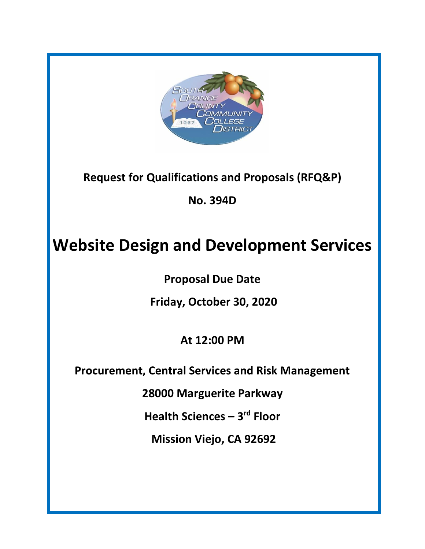

**Request for Qualifications and Proposals (RFQ&P)**

**No. 394D**

# **Website Design and Development Services**

**Proposal Due Date**

**Friday, October 30, 2020**

**At 12:00 PM**

**Procurement, Central Services and Risk Management**

**28000 Marguerite Parkway**

**Health Sciences – 3 rd Floor**

**Mission Viejo, CA 92692**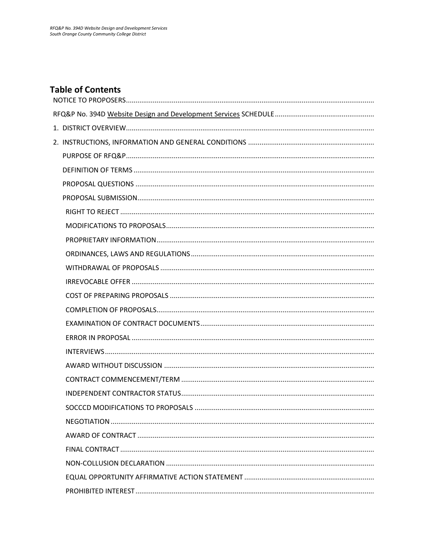### **Table of Contents**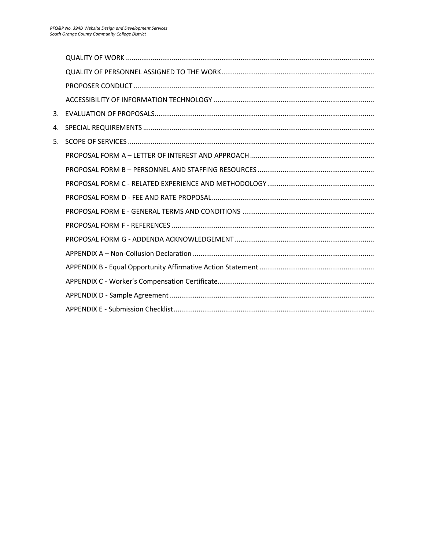| 3. |  |
|----|--|
| 4. |  |
| 5. |  |
|    |  |
|    |  |
|    |  |
|    |  |
|    |  |
|    |  |
|    |  |
|    |  |
|    |  |
|    |  |
|    |  |
|    |  |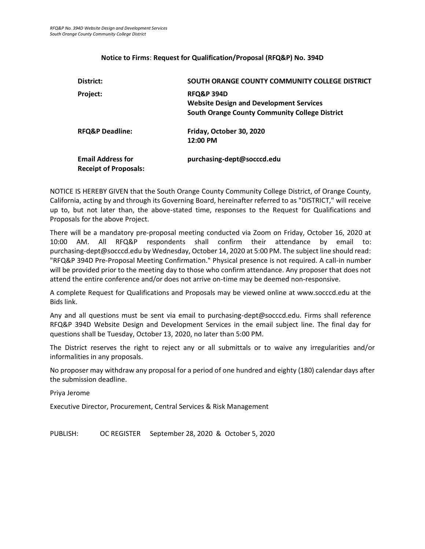#### **Notice to Firms**: **Request for Qualification/Proposal (RFQ&P) No. 394D**

<span id="page-3-0"></span>

| District:                    | SOUTH ORANGE COUNTY COMMUNITY COLLEGE DISTRICT                          |
|------------------------------|-------------------------------------------------------------------------|
| Project:                     | <b>RFQ&amp;P 394D</b><br><b>Website Design and Development Services</b> |
|                              | <b>South Orange County Community College District</b>                   |
| <b>RFQ&amp;P Deadline:</b>   | Friday, October 30, 2020                                                |
|                              | 12:00 PM                                                                |
| <b>Email Address for</b>     | purchasing-dept@socccd.edu                                              |
| <b>Receipt of Proposals:</b> |                                                                         |

NOTICE IS HEREBY GIVEN that the South Orange County Community College District, of Orange County, California, acting by and through its Governing Board, hereinafter referred to as "DISTRICT," will receive up to, but not later than, the above-stated time, responses to the Request for Qualifications and Proposals for the above Project.

There will be a mandatory pre-proposal meeting conducted via Zoom on Friday, October 16, 2020 at 10:00 AM. All RFQ&P respondents shall confirm their attendance by email to: purchasing-dept@socccd.edu by Wednesday, October 14, 2020 at 5:00 PM. The subject line should read: "RFQ&P 394D Pre-Proposal Meeting Confirmation." Physical presence is not required. A call-in number will be provided prior to the meeting day to those who confirm attendance. Any proposer that does not attend the entire conference and/or does not arrive on-time may be deemed non-responsive.

A complete Request for Qualifications and Proposals may be viewed online at www.socccd.edu at the Bids link.

Any and all questions must be sent via email to purchasing-dept@socccd.edu. Firms shall reference RFQ&P 394D Website Design and Development Services in the email subject line. The final day for questions shall be Tuesday, October 13, 2020, no later than 5:00 PM.

The District reserves the right to reject any or all submittals or to waive any irregularities and/or informalities in any proposals.

No proposer may withdraw any proposal for a period of one hundred and eighty (180) calendar days after the submission deadline.

Priya Jerome

Executive Director, Procurement, Central Services & Risk Management

<span id="page-3-1"></span>PUBLISH: OC REGISTER September 28, 2020 & October 5, 2020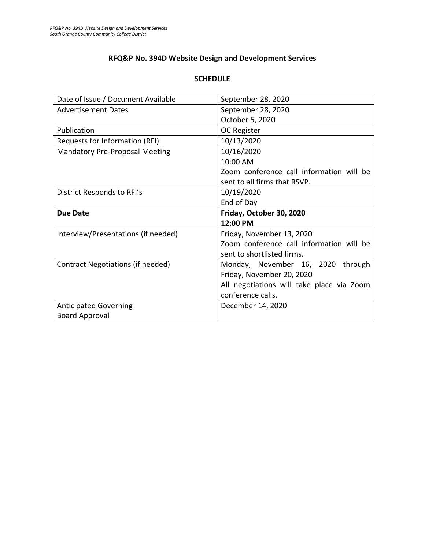### **RFQ&P No. 394D Website Design and Development Services**

### **SCHEDULE**

| Date of Issue / Document Available    | September 28, 2020                        |
|---------------------------------------|-------------------------------------------|
| <b>Advertisement Dates</b>            | September 28, 2020                        |
|                                       | October 5, 2020                           |
| Publication                           | OC Register                               |
| Requests for Information (RFI)        | 10/13/2020                                |
| <b>Mandatory Pre-Proposal Meeting</b> | 10/16/2020                                |
|                                       | 10:00 AM                                  |
|                                       | Zoom conference call information will be  |
|                                       | sent to all firms that RSVP.              |
| District Responds to RFI's            | 10/19/2020                                |
|                                       | End of Day                                |
|                                       |                                           |
| <b>Due Date</b>                       | Friday, October 30, 2020                  |
|                                       | 12:00 PM                                  |
| Interview/Presentations (if needed)   | Friday, November 13, 2020                 |
|                                       | Zoom conference call information will be  |
|                                       | sent to shortlisted firms.                |
| Contract Negotiations (if needed)     | Monday, November 16, 2020<br>through      |
|                                       | Friday, November 20, 2020                 |
|                                       | All negotiations will take place via Zoom |
|                                       | conference calls.                         |
| <b>Anticipated Governing</b>          | December 14, 2020                         |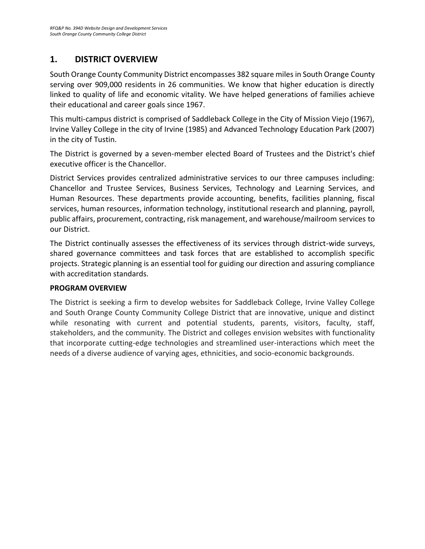## <span id="page-5-0"></span>**1. DISTRICT OVERVIEW**

South Orange County Community District encompasses 382 square miles in South Orange County serving over 909,000 residents in 26 communities. We know that higher education is directly linked to quality of life and economic vitality. We have helped generations of families achieve their educational and career goals since 1967.

This multi-campus district is comprised of Saddleback College in the City of Mission Viejo (1967), Irvine Valley College in the city of Irvine (1985) and Advanced Technology Education Park (2007) in the city of Tustin.

The District is governed by a seven-member elected Board of Trustees and the District's chief executive officer is the Chancellor.

District Services provides centralized administrative services to our three campuses including: Chancellor and Trustee Services, Business Services, Technology and Learning Services, and Human Resources. These departments provide accounting, benefits, facilities planning, fiscal services, human resources, information technology, institutional research and planning, payroll, public affairs, procurement, contracting, risk management, and warehouse/mailroom services to our District.

The District continually assesses the effectiveness of its services through district-wide surveys, shared governance committees and task forces that are established to accomplish specific projects. Strategic planning is an essential tool for guiding our direction and assuring compliance with accreditation standards.

### **PROGRAM OVERVIEW**

The District is seeking a firm to develop websites for Saddleback College, Irvine Valley College and South Orange County Community College District that are innovative, unique and distinct while resonating with current and potential students, parents, visitors, faculty, staff, stakeholders, and the community. The District and colleges envision websites with functionality that incorporate cutting-edge technologies and streamlined user-interactions which meet the needs of a diverse audience of varying ages, ethnicities, and socio-economic backgrounds.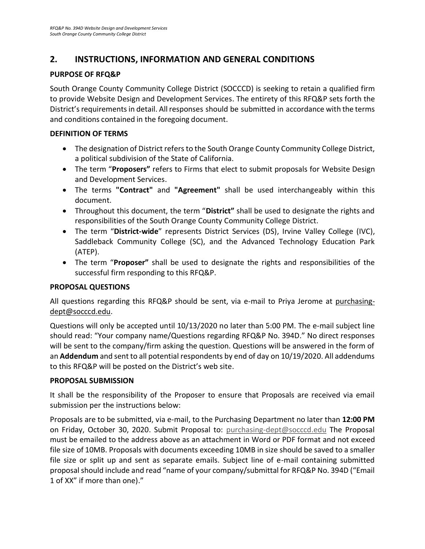### <span id="page-6-0"></span>**2. INSTRUCTIONS, INFORMATION AND GENERAL CONDITIONS**

### <span id="page-6-1"></span>**PURPOSE OF RFQ&P**

South Orange County Community College District (SOCCCD) is seeking to retain a qualified firm to provide Website Design and Development Services. The entirety of this RFQ&P sets forth the District's requirements in detail. All responses should be submitted in accordance with the terms and conditions contained in the foregoing document.

### <span id="page-6-2"></span>**DEFINITION OF TERMS**

- The designation of District refers to the South Orange County Community College District, a political subdivision of the State of California.
- The term "**Proposers"** refers to Firms that elect to submit proposals for Website Design and Development Services.
- The terms **"Contract"** and **"Agreement"** shall be used interchangeably within this document.
- Throughout this document, the term "**District"** shall be used to designate the rights and responsibilities of the South Orange County Community College District.
- The term "**District-wide**" represents District Services (DS), Irvine Valley College (IVC), Saddleback Community College (SC), and the Advanced Technology Education Park (ATEP).
- The term "**Proposer"** shall be used to designate the rights and responsibilities of the successful firm responding to this RFQ&P.

### <span id="page-6-3"></span>**PROPOSAL QUESTIONS**

All questions regarding this RFQ&P should be sent, via e-mail to Priya Jerome at purchasingdept@socccd.edu.

Questions will only be accepted until 10/13/2020 no later than 5:00 PM. The e-mail subject line should read: "Your company name/Questions regarding RFQ&P No. 394D." No direct responses will be sent to the company/firm asking the question. Questions will be answered in the form of an **Addendum** and sent to all potential respondents by end of day on 10/19/2020. All addendums to this RFQ&P will be posted on the District's web site.

### <span id="page-6-4"></span>**PROPOSAL SUBMISSION**

It shall be the responsibility of the Proposer to ensure that Proposals are received via email submission per the instructions below:

Proposals are to be submitted, via e-mail, to the Purchasing Department no later than **12:00 PM** on Friday, October 30, 2020. Submit Proposal to: [purchasing-dept@socccd.edu](mailto:purchasing-dept@socccd.edu) The Proposal must be emailed to the address above as an attachment in Word or PDF format and not exceed file size of 10MB. Proposals with documents exceeding 10MB in size should be saved to a smaller file size or split up and sent as separate emails. Subject line of e-mail containing submitted proposal should include and read "name of your company/submittal for RFQ&P No. 394D ("Email 1 of XX" if more than one)."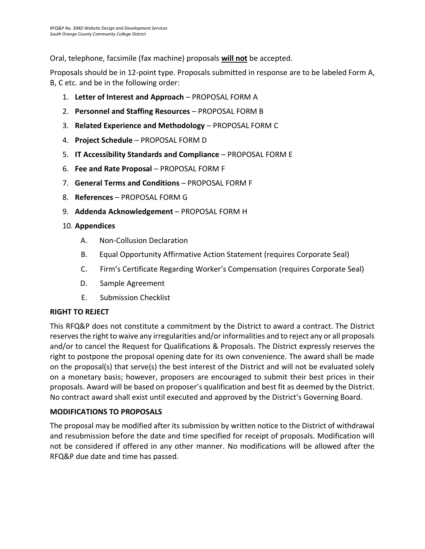Oral, telephone, facsimile (fax machine) proposals **will not** be accepted.

Proposals should be in 12-point type. Proposals submitted in response are to be labeled Form A, B, C etc. and be in the following order:

- 1. **Letter of Interest and Approach** PROPOSAL FORM A
- 2. **Personnel and Staffing Resources** PROPOSAL FORM B
- 3. **Related Experience and Methodology** PROPOSAL FORM C
- 4. **Project Schedule** PROPOSAL FORM D
- 5. **IT Accessibility Standards and Compliance** PROPOSAL FORM E
- 6. **Fee and Rate Proposal** PROPOSAL FORM F
- 7. **General Terms and Conditions** PROPOSAL FORM F
- 8. **References** PROPOSAL FORM G
- 9. **Addenda Acknowledgement** PROPOSAL FORM H
- 10. **Appendices**
	- A. Non-Collusion Declaration
	- B. Equal Opportunity Affirmative Action Statement (requires Corporate Seal)
	- C. Firm's Certificate Regarding Worker's Compensation (requires Corporate Seal)
	- D. Sample Agreement
	- E. Submission Checklist

### <span id="page-7-0"></span>**RIGHT TO REJECT**

This RFQ&P does not constitute a commitment by the District to award a contract. The District reserves the right to waive any irregularities and/or informalities and to reject any or all proposals and/or to cancel the Request for Qualifications & Proposals. The District expressly reserves the right to postpone the proposal opening date for its own convenience. The award shall be made on the proposal(s) that serve(s) the best interest of the District and will not be evaluated solely on a monetary basis; however, proposers are encouraged to submit their best prices in their proposals. Award will be based on proposer's qualification and best fit as deemed by the District. No contract award shall exist until executed and approved by the District's Governing Board.

### <span id="page-7-1"></span>**MODIFICATIONS TO PROPOSALS**

The proposal may be modified after its submission by written notice to the District of withdrawal and resubmission before the date and time specified for receipt of proposals. Modification will not be considered if offered in any other manner. No modifications will be allowed after the RFQ&P due date and time has passed.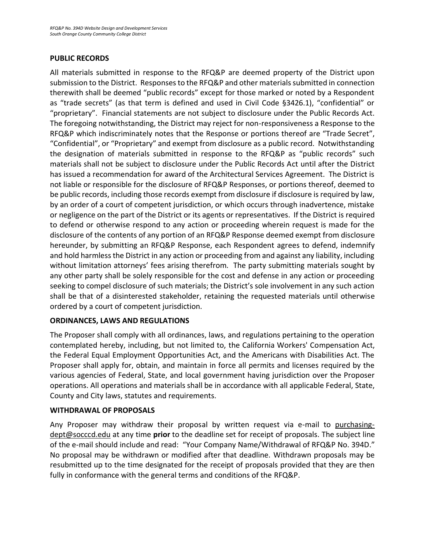### **PUBLIC RECORDS**

All materials submitted in response to the RFQ&P are deemed property of the District upon submission to the District. Responses to the RFQ&P and other materials submitted in connection therewith shall be deemed "public records" except for those marked or noted by a Respondent as "trade secrets" (as that term is defined and used in Civil Code §3426.1), "confidential" or "proprietary". Financial statements are not subject to disclosure under the Public Records Act. The foregoing notwithstanding, the District may reject for non-responsiveness a Response to the RFQ&P which indiscriminately notes that the Response or portions thereof are "Trade Secret", "Confidential", or "Proprietary" and exempt from disclosure as a public record. Notwithstanding the designation of materials submitted in response to the RFQ&P as "public records" such materials shall not be subject to disclosure under the Public Records Act until after the District has issued a recommendation for award of the Architectural Services Agreement. The District is not liable or responsible for the disclosure of RFQ&P Responses, or portions thereof, deemed to be public records, including those records exempt from disclosure if disclosure is required by law, by an order of a court of competent jurisdiction, or which occurs through inadvertence, mistake or negligence on the part of the District or its agents or representatives. If the District is required to defend or otherwise respond to any action or proceeding wherein request is made for the disclosure of the contents of any portion of an RFQ&P Response deemed exempt from disclosure hereunder, by submitting an RFQ&P Response, each Respondent agrees to defend, indemnify and hold harmless the District in any action or proceeding from and against any liability, including without limitation attorneys' fees arising therefrom. The party submitting materials sought by any other party shall be solely responsible for the cost and defense in any action or proceeding seeking to compel disclosure of such materials; the District's sole involvement in any such action shall be that of a disinterested stakeholder, retaining the requested materials until otherwise ordered by a court of competent jurisdiction.

### <span id="page-8-0"></span>**ORDINANCES, LAWS AND REGULATIONS**

The Proposer shall comply with all ordinances, laws, and regulations pertaining to the operation contemplated hereby, including, but not limited to, the California Workers' Compensation Act, the Federal Equal Employment Opportunities Act, and the Americans with Disabilities Act. The Proposer shall apply for, obtain, and maintain in force all permits and licenses required by the various agencies of Federal, State, and local government having jurisdiction over the Proposer operations. All operations and materials shall be in accordance with all applicable Federal, State, County and City laws, statutes and requirements.

### <span id="page-8-1"></span>**WITHDRAWAL OF PROPOSALS**

<span id="page-8-2"></span>Any Proposer may withdraw their proposal by written request via e-mail to purchasingdept@socccd.edu at any time **prior** to the deadline set for receipt of proposals. The subject line of the e-mail should include and read: "Your Company Name/Withdrawal of RFQ&P No. 394D." No proposal may be withdrawn or modified after that deadline. Withdrawn proposals may be resubmitted up to the time designated for the receipt of proposals provided that they are then fully in conformance with the general terms and conditions of the RFQ&P.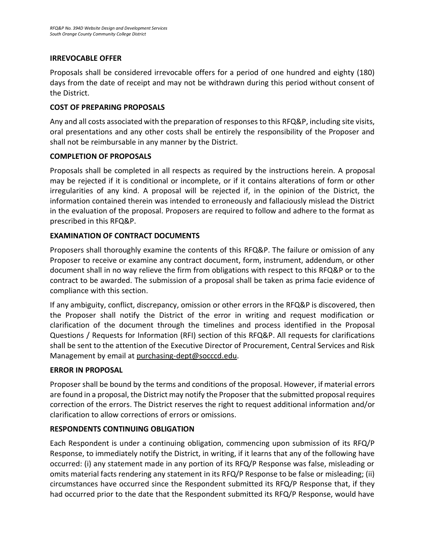### **IRREVOCABLE OFFER**

Proposals shall be considered irrevocable offers for a period of one hundred and eighty (180) days from the date of receipt and may not be withdrawn during this period without consent of the District.

### <span id="page-9-0"></span>**COST OF PREPARING PROPOSALS**

Any and all costs associated with the preparation of responses to this RFQ&P, including site visits, oral presentations and any other costs shall be entirely the responsibility of the Proposer and shall not be reimbursable in any manner by the District.

### **COMPLETION OF PROPOSALS**

Proposals shall be completed in all respects as required by the instructions herein. A proposal may be rejected if it is conditional or incomplete, or if it contains alterations of form or other irregularities of any kind. A proposal will be rejected if, in the opinion of the District, the information contained therein was intended to erroneously and fallaciously mislead the District in the evaluation of the proposal. Proposers are required to follow and adhere to the format as prescribed in this RFQ&P.

### **EXAMINATION OF CONTRACT DOCUMENTS**

Proposers shall thoroughly examine the contents of this RFQ&P. The failure or omission of any Proposer to receive or examine any contract document, form, instrument, addendum, or other document shall in no way relieve the firm from obligations with respect to this RFQ&P or to the contract to be awarded. The submission of a proposal shall be taken as prima facie evidence of compliance with this section.

If any ambiguity, conflict, discrepancy, omission or other errors in the RFQ&P is discovered, then the Proposer shall notify the District of the error in writing and request modification or clarification of the document through the timelines and process identified in the Proposal Questions / Requests for Information (RFI) section of this RFQ&P. All requests for clarifications shall be sent to the attention of the Executive Director of Procurement, Central Services and Risk Management by email a[t purchasing-dept@socccd.edu.](mailto:purchasing-dept@socccd.edu)

### **ERROR IN PROPOSAL**

Proposer shall be bound by the terms and conditions of the proposal. However, if material errors are found in a proposal, the District may notify the Proposer that the submitted proposal requires correction of the errors. The District reserves the right to request additional information and/or clarification to allow corrections of errors or omissions.

### **RESPONDENTS CONTINUING OBLIGATION**

Each Respondent is under a continuing obligation, commencing upon submission of its RFQ/P Response, to immediately notify the District, in writing, if it learns that any of the following have occurred: (i) any statement made in any portion of its RFQ/P Response was false, misleading or omits material facts rendering any statement in its RFQ/P Response to be false or misleading; (ii) circumstances have occurred since the Respondent submitted its RFQ/P Response that, if they had occurred prior to the date that the Respondent submitted its RFQ/P Response, would have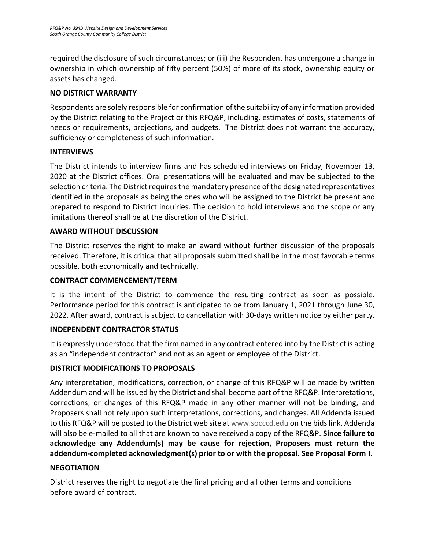required the disclosure of such circumstances; or (iii) the Respondent has undergone a change in ownership in which ownership of fifty percent (50%) of more of its stock, ownership equity or assets has changed.

### **NO DISTRICT WARRANTY**

Respondents are solely responsible for confirmation of the suitability of any information provided by the District relating to the Project or this RFQ&P, including, estimates of costs, statements of needs or requirements, projections, and budgets. The District does not warrant the accuracy, sufficiency or completeness of such information.

### <span id="page-10-0"></span>**INTERVIEWS**

The District intends to interview firms and has scheduled interviews on Friday, November 13, 2020 at the District offices. Oral presentations will be evaluated and may be subjected to the selection criteria. The District requires the mandatory presence of the designated representatives identified in the proposals as being the ones who will be assigned to the District be present and prepared to respond to District inquiries. The decision to hold interviews and the scope or any limitations thereof shall be at the discretion of the District.

### <span id="page-10-1"></span>**AWARD WITHOUT DISCUSSION**

The District reserves the right to make an award without further discussion of the proposals received. Therefore, it is critical that all proposals submitted shall be in the most favorable terms possible, both economically and technically.

### <span id="page-10-2"></span>**CONTRACT COMMENCEMENT/TERM**

It is the intent of the District to commence the resulting contract as soon as possible. Performance period for this contract is anticipated to be from January 1, 2021 through June 30, 2022. After award, contract is subject to cancellation with 30-days written notice by either party.

### **INDEPENDENT CONTRACTOR STATUS**

It is expressly understood that the firm named in any contract entered into by the District is acting as an "independent contractor" and not as an agent or employee of the District.

### <span id="page-10-3"></span>**DISTRICT MODIFICATIONS TO PROPOSALS**

Any interpretation, modifications, correction, or change of this RFQ&P will be made by written Addendum and will be issued by the District and shall become part of the RFQ&P. Interpretations, corrections, or changes of this RFQ&P made in any other manner will not be binding, and Proposers shall not rely upon such interpretations, corrections, and changes. All Addenda issued to this RFQ&P will be posted to the District web site at [www.socccd.edu](http://www.socccd.edu/) on the bids link. Addenda will also be e-mailed to all that are known to have received a copy of the RFQ&P. **Since failure to acknowledge any Addendum(s) may be cause for rejection, Proposers must return the addendum-completed acknowledgment(s) prior to or with the proposal. See Proposal Form I.**

### <span id="page-10-4"></span>**NEGOTIATION**

District reserves the right to negotiate the final pricing and all other terms and conditions before award of contract.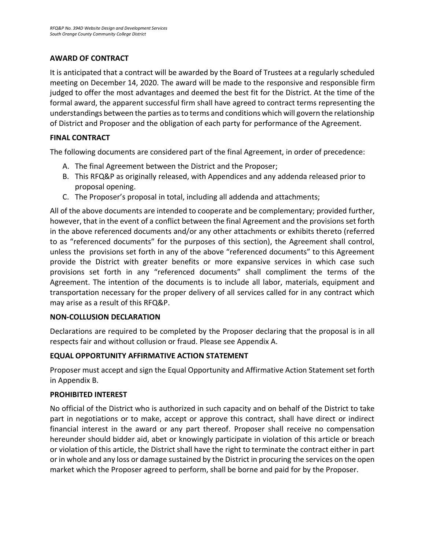### <span id="page-11-0"></span>**AWARD OF CONTRACT**

It is anticipated that a contract will be awarded by the Board of Trustees at a regularly scheduled meeting on December 14, 2020. The award will be made to the responsive and responsible firm judged to offer the most advantages and deemed the best fit for the District. At the time of the formal award, the apparent successful firm shall have agreed to contract terms representing the understandings between the parties as to terms and conditions which will govern the relationship of District and Proposer and the obligation of each party for performance of the Agreement.

### <span id="page-11-1"></span>**FINAL CONTRACT**

The following documents are considered part of the final Agreement, in order of precedence:

- A. The final Agreement between the District and the Proposer;
- B. This RFQ&P as originally released, with Appendices and any addenda released prior to proposal opening.
- C. The Proposer's proposal in total, including all addenda and attachments;

All of the above documents are intended to cooperate and be complementary; provided further, however, that in the event of a conflict between the final Agreement and the provisions set forth in the above referenced documents and/or any other attachments or exhibits thereto (referred to as "referenced documents" for the purposes of this section), the Agreement shall control, unless the provisions set forth in any of the above "referenced documents" to this Agreement provide the District with greater benefits or more expansive services in which case such provisions set forth in any "referenced documents" shall compliment the terms of the Agreement. The intention of the documents is to include all labor, materials, equipment and transportation necessary for the proper delivery of all services called for in any contract which may arise as a result of this RFQ&P.

### **NON-COLLUSION DECLARATION**

Declarations are required to be completed by the Proposer declaring that the proposal is in all respects fair and without collusion or fraud. Please see Appendix A.

### <span id="page-11-2"></span>**EQUAL OPPORTUNITY AFFIRMATIVE ACTION STATEMENT**

Proposer must accept and sign the Equal Opportunity and Affirmative Action Statement set forth in Appendix B.

### <span id="page-11-3"></span>**PROHIBITED INTEREST**

<span id="page-11-4"></span>No official of the District who is authorized in such capacity and on behalf of the District to take part in negotiations or to make, accept or approve this contract, shall have direct or indirect financial interest in the award or any part thereof. Proposer shall receive no compensation hereunder should bidder aid, abet or knowingly participate in violation of this article or breach or violation of this article, the District shall have the right to terminate the contract either in part or in whole and any loss or damage sustained by the District in procuring the services on the open market which the Proposer agreed to perform, shall be borne and paid for by the Proposer.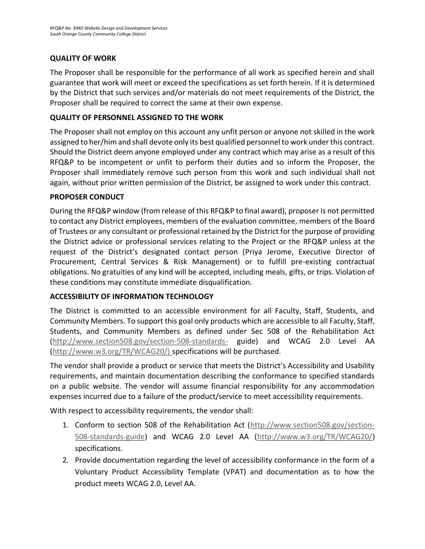### **QUALITY OF WORK**

The Proposer shall be responsible for the performance of all work as specified herein and shall guarantee that work will meet or exceed the specifications as set forth herein. If it is determined by the District that such services and/or materials do not meet requirements of the District, the Proposer shall be required to correct the same at their own expense.

### <span id="page-12-0"></span>**QUALITY OF PERSONNEL ASSIGNED TO THE WORK**

<span id="page-12-1"></span>The Proposer shall not employ on this account any unfit person or anyone not skilled in the work assigned to her/him and shall devote only its best qualified personnel to work under this contract. Should the District deem anyone employed under any contract which may arise as a result of this RFQ&P to be incompetent or unfit to perform their duties and so inform the Proposer, the Proposer shall immediately remove such person from this work and such individual shall not again, without prior written permission of the District, be assigned to work under this contract.

### **PROPOSER CONDUCT**

<span id="page-12-2"></span>During the RFQ&P window (from release of this RFQ&P to final award), proposer is not permitted to contact any District employees, members of the evaluation committee, members of the Board of Trustees or any consultant or professional retained by the District for the purpose of providing the District advice or professional services relating to the Project or the RFQ&P unless at the request of the District's designated contact person (Priya Jerome, Executive Director of Procurement, Central Services & Risk Management) or to fulfill pre-existing contractual obligations. No gratuities of any kind will be accepted, including meals, gifts, or trips. Violation of these conditions may constitute immediate disqualification.

### **ACCESSIBILITY OF INFORMATION TECHNOLOGY**

The District is committed to an accessible environment for all Faculty, Staff, Students, and Community Members. To support this goal only products which are accessible to all Faculty, Staff, Students, and Community Members as defined under Sec 508 of the Rehabilitation Act [\(http://www.section508.gov/section-508-standards-](http://www.section508.gov/section-508-standards-) guide) and WCAG 2.0 Level AA [\(http://www.w3.org/TR/WCAG20/\) s](http://www.w3.org/TR/WCAG20/))pecifications will be purchased.

The vendor shall provide a product or service that meets the District's Accessibility and Usability requirements, and maintain documentation describing the conformance to specified standards on a public website. The vendor will assume financial responsibility for any accommodation expenses incurred due to a failure of the product/service to meet accessibility requirements.

With respect to accessibility requirements, the vendor shall:

- 1. Conform to section 508 of the Rehabilitation Act [\(http://www.section508.gov/section-](http://www.section508.gov/section-508-standards-guide)[508-standards-guide\)](http://www.section508.gov/section-508-standards-guide) and WCAG 2.0 Level AA [\(http://www.w3.org/TR/WCAG20/\)](http://www.w3.org/TR/WCAG20/) specifications.
- 2. Provide documentation regarding the level of accessibility conformance in the form of a Voluntary Product Accessibility Template (VPAT) and documentation as to how the product meets WCAG 2.0, Level AA.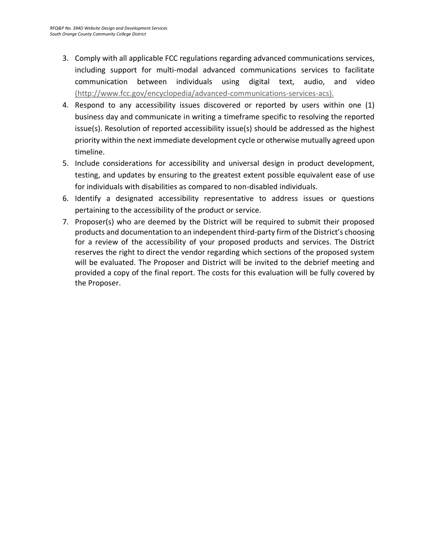- 3. Comply with all applicable FCC regulations regarding advanced communications services, including support for multi-modal advanced communications services to facilitate communication between individuals using digital text, audio, and video [\(http://www.fcc.gov/encyclopedia/advanced-communications-services-acs\).](http://www.fcc.gov/encyclopedia/advanced-communications-services-acs))
- 4. Respond to any accessibility issues discovered or reported by users within one (1) business day and communicate in writing a timeframe specific to resolving the reported issue(s). Resolution of reported accessibility issue(s) should be addressed as the highest priority within the next immediate development cycle or otherwise mutually agreed upon timeline.
- 5. Include considerations for accessibility and universal design in product development, testing, and updates by ensuring to the greatest extent possible equivalent ease of use for individuals with disabilities as compared to non-disabled individuals.
- 6. Identify a designated accessibility representative to address issues or questions pertaining to the accessibility of the product or service.
- 7. Proposer(s) who are deemed by the District will be required to submit their proposed products and documentation to an independent third-party firm of the District's choosing for a review of the accessibility of your proposed products and services. The District reserves the right to direct the vendor regarding which sections of the proposed system will be evaluated. The Proposer and District will be invited to the debrief meeting and provided a copy of the final report. The costs for this evaluation will be fully covered by the Proposer.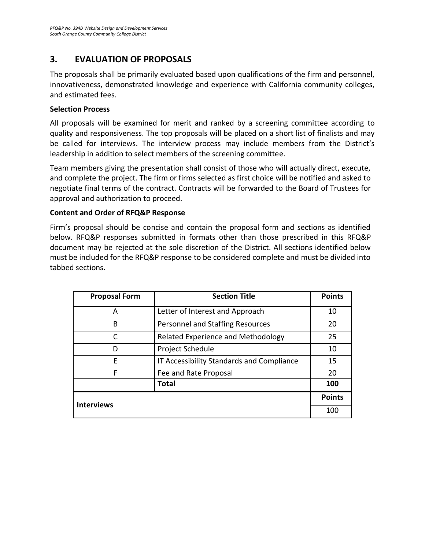### **3. EVALUATION OF PROPOSALS**

The proposals shall be primarily evaluated based upon qualifications of the firm and personnel, innovativeness, demonstrated knowledge and experience with California community colleges, and estimated fees.

### **Selection Process**

All proposals will be examined for merit and ranked by a screening committee according to quality and responsiveness. The top proposals will be placed on a short list of finalists and may be called for interviews. The interview process may include members from the District's leadership in addition to select members of the screening committee.

Team members giving the presentation shall consist of those who will actually direct, execute, and complete the project. The firm or firms selected as first choice will be notified and asked to negotiate final terms of the contract. Contracts will be forwarded to the Board of Trustees for approval and authorization to proceed.

### **Content and Order of RFQ&P Response**

Firm's proposal should be concise and contain the proposal form and sections as identified below. RFQ&P responses submitted in formats other than those prescribed in this RFQ&P document may be rejected at the sole discretion of the District. All sections identified below must be included for the RFQ&P response to be considered complete and must be divided into tabbed sections.

| <b>Proposal Form</b> | <b>Section Title</b>                      | <b>Points</b> |
|----------------------|-------------------------------------------|---------------|
| А                    | Letter of Interest and Approach           | 10            |
| В                    | Personnel and Staffing Resources          | 20            |
| C                    | Related Experience and Methodology        | 25            |
| D                    | Project Schedule                          | 10            |
| F                    | IT Accessibility Standards and Compliance | 15            |
| F                    | Fee and Rate Proposal                     | 20            |
|                      | <b>Total</b>                              | 100           |
| <b>Interviews</b>    |                                           | <b>Points</b> |
|                      |                                           | 100           |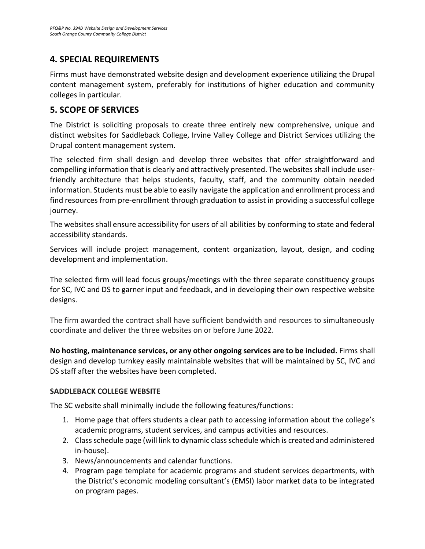### **4. SPECIAL REQUIREMENTS**

Firms must have demonstrated website design and development experience utilizing the Drupal content management system, preferably for institutions of higher education and community colleges in particular.

### <span id="page-15-0"></span>**5. SCOPE OF SERVICES**

The District is soliciting proposals to create three entirely new comprehensive, unique and distinct websites for Saddleback College, Irvine Valley College and District Services utilizing the Drupal content management system.

The selected firm shall design and develop three websites that offer straightforward and compelling information that is clearly and attractively presented. The websites shall include userfriendly architecture that helps students, faculty, staff, and the community obtain needed information. Students must be able to easily navigate the application and enrollment process and find resources from pre-enrollment through graduation to assist in providing a successful college journey.

The websites shall ensure accessibility for users of all abilities by conforming to state and federal accessibility standards.

Services will include project management, content organization, layout, design, and coding development and implementation.

The selected firm will lead focus groups/meetings with the three separate constituency groups for SC, IVC and DS to garner input and feedback, and in developing their own respective website designs.

The firm awarded the contract shall have sufficient bandwidth and resources to simultaneously coordinate and deliver the three websites on or before June 2022.

**No hosting, maintenance services, or any other ongoing services are to be included.** Firms shall design and develop turnkey easily maintainable websites that will be maintained by SC, IVC and DS staff after the websites have been completed.

### **SADDLEBACK COLLEGE WEBSITE**

The SC website shall minimally include the following features/functions:

- 1. Home page that offers students a clear path to accessing information about the college's academic programs, student services, and campus activities and resources.
- 2. Class schedule page (will link to dynamic class schedule which is created and administered in-house).
- 3. News/announcements and calendar functions.
- 4. Program page template for academic programs and student services departments, with the District's economic modeling consultant's (EMSI) labor market data to be integrated on program pages.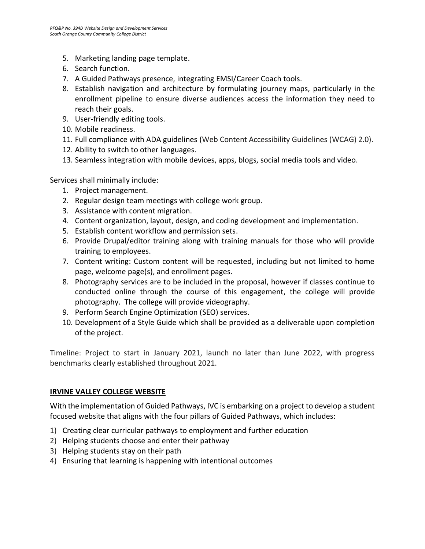- 5. Marketing landing page template.
- 6. Search function.
- 7. A Guided Pathways presence, integrating EMSI/Career Coach tools.
- 8. Establish navigation and architecture by formulating journey maps, particularly in the enrollment pipeline to ensure diverse audiences access the information they need to reach their goals.
- 9. User-friendly editing tools.
- 10. Mobile readiness.
- 11. Full compliance with ADA guidelines (Web Content Accessibility Guidelines (WCAG) 2.0).
- 12. Ability to switch to other languages.
- 13. Seamless integration with mobile devices, apps, blogs, social media tools and video.

Services shall minimally include:

- 1. Project management.
- 2. Regular design team meetings with college work group.
- 3. Assistance with content migration.
- 4. Content organization, layout, design, and coding development and implementation.
- 5. Establish content workflow and permission sets.
- 6. Provide Drupal/editor training along with training manuals for those who will provide training to employees.
- 7. Content writing: Custom content will be requested, including but not limited to home page, welcome page(s), and enrollment pages.
- 8. Photography services are to be included in the proposal, however if classes continue to conducted online through the course of this engagement, the college will provide photography. The college will provide videography.
- 9. Perform Search Engine Optimization (SEO) services.
- 10. Development of a Style Guide which shall be provided as a deliverable upon completion of the project.

Timeline: Project to start in January 2021, launch no later than June 2022, with progress benchmarks clearly established throughout 2021.

### **IRVINE VALLEY COLLEGE WEBSITE**

With the implementation of Guided Pathways, IVC is embarking on a project to develop a student focused website that aligns with the four pillars of Guided Pathways, which includes:

- 1) Creating clear curricular pathways to employment and further education
- 2) Helping students choose and enter their pathway
- 3) Helping students stay on their path
- 4) Ensuring that learning is happening with intentional outcomes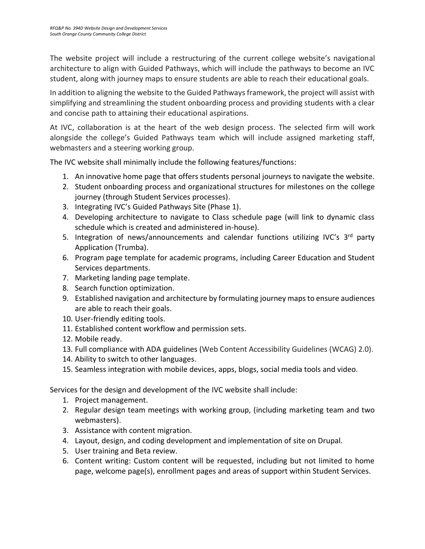The website project will include a restructuring of the current college website's navigational architecture to align with Guided Pathways, which will include the pathways to become an IVC student, along with journey maps to ensure students are able to reach their educational goals.

In addition to aligning the website to the Guided Pathways framework, the project will assist with simplifying and streamlining the student onboarding process and providing students with a clear and concise path to attaining their educational aspirations.

At IVC, collaboration is at the heart of the web design process. The selected firm will work alongside the college's Guided Pathways team which will include assigned marketing staff, webmasters and a steering working group.

The IVC website shall minimally include the following features/functions:

- 1. An innovative home page that offers students personal journeys to navigate the website.
- 2. Student onboarding process and organizational structures for milestones on the college journey (through Student Services processes).
- 3. Integrating IVC's Guided Pathways Site (Phase 1).
- 4. Developing architecture to navigate to Class schedule page (will link to dynamic class schedule which is created and administered in-house).
- 5. Integration of news/announcements and calendar functions utilizing IVC's 3<sup>rd</sup> party Application (Trumba).
- 6. Program page template for academic programs, including Career Education and Student Services departments.
- 7. Marketing landing page template.
- 8. Search function optimization.
- 9. Established navigation and architecture by formulating journey maps to ensure audiences are able to reach their goals.
- 10. User-friendly editing tools.
- 11. Established content workflow and permission sets.
- 12. Mobile ready.
- 13. Full compliance with ADA guidelines (Web Content Accessibility Guidelines (WCAG) 2.0).
- 14. Ability to switch to other languages.
- 15. Seamless integration with mobile devices, apps, blogs, social media tools and video.

Services for the design and development of the IVC website shall include:

- 1. Project management.
- 2. Regular design team meetings with working group, (including marketing team and two webmasters).
- 3. Assistance with content migration.
- 4. Layout, design, and coding development and implementation of site on Drupal.
- 5. User training and Beta review.
- 6. Content writing: Custom content will be requested, including but not limited to home page, welcome page(s), enrollment pages and areas of support within Student Services.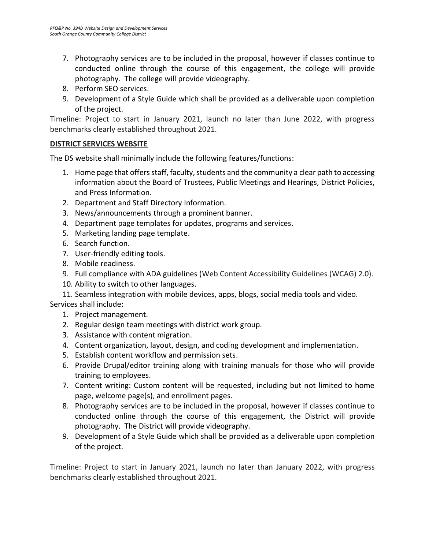- 7. Photography services are to be included in the proposal, however if classes continue to conducted online through the course of this engagement, the college will provide photography. The college will provide videography.
- 8. Perform SEO services.
- 9. Development of a Style Guide which shall be provided as a deliverable upon completion of the project.

Timeline: Project to start in January 2021, launch no later than June 2022, with progress benchmarks clearly established throughout 2021.

### **DISTRICT SERVICES WEBSITE**

The DS website shall minimally include the following features/functions:

- 1. Home page that offers staff, faculty, students and the community a clear path to accessing information about the Board of Trustees, Public Meetings and Hearings, District Policies, and Press Information.
- 2. Department and Staff Directory Information.
- 3. News/announcements through a prominent banner.
- 4. Department page templates for updates, programs and services.
- 5. Marketing landing page template.
- 6. Search function.
- 7. User-friendly editing tools.
- 8. Mobile readiness.
- 9. Full compliance with ADA guidelines (Web Content Accessibility Guidelines (WCAG) 2.0).
- 10. Ability to switch to other languages.
- 11. Seamless integration with mobile devices, apps, blogs, social media tools and video.

Services shall include:

- 1. Project management.
- 2. Regular design team meetings with district work group.
- 3. Assistance with content migration.
- 4. Content organization, layout, design, and coding development and implementation.
- 5. Establish content workflow and permission sets.
- 6. Provide Drupal/editor training along with training manuals for those who will provide training to employees.
- 7. Content writing: Custom content will be requested, including but not limited to home page, welcome page(s), and enrollment pages.
- 8. Photography services are to be included in the proposal, however if classes continue to conducted online through the course of this engagement, the District will provide photography. The District will provide videography.
- 9. Development of a Style Guide which shall be provided as a deliverable upon completion of the project.

Timeline: Project to start in January 2021, launch no later than January 2022, with progress benchmarks clearly established throughout 2021.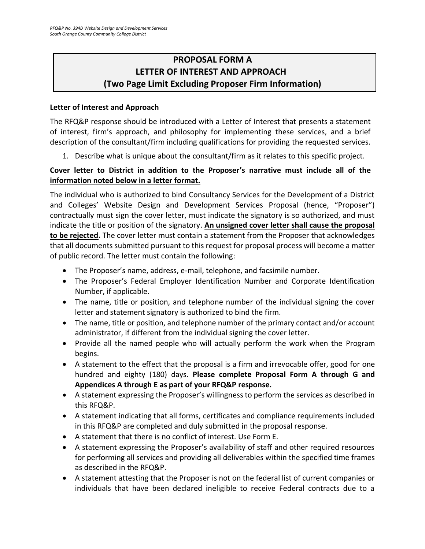# <span id="page-19-0"></span>**PROPOSAL FORM A LETTER OF INTEREST AND APPROACH (Two Page Limit Excluding Proposer Firm Information)**

### **Letter of Interest and Approach**

The RFQ&P response should be introduced with a Letter of Interest that presents a statement of interest, firm's approach, and philosophy for implementing these services, and a brief description of the consultant/firm including qualifications for providing the requested services.

1. Describe what is unique about the consultant/firm as it relates to this specific project.

### **Cover letter to District in addition to the Proposer's narrative must include all of the information noted below in a letter format.**

The individual who is authorized to bind Consultancy Services for the Development of a District and Colleges' Website Design and Development Services Proposal (hence, "Proposer") contractually must sign the cover letter, must indicate the signatory is so authorized, and must indicate the title or position of the signatory. **An unsigned cover letter shall cause the proposal to be rejected.** The cover letter must contain a statement from the Proposer that acknowledges that all documents submitted pursuant to this request for proposal process will become a matter of public record. The letter must contain the following:

- The Proposer's name, address, e-mail, telephone, and facsimile number.
- The Proposer's Federal Employer Identification Number and Corporate Identification Number, if applicable.
- The name, title or position, and telephone number of the individual signing the cover letter and statement signatory is authorized to bind the firm.
- The name, title or position, and telephone number of the primary contact and/or account administrator, if different from the individual signing the cover letter.
- Provide all the named people who will actually perform the work when the Program begins.
- A statement to the effect that the proposal is a firm and irrevocable offer, good for one hundred and eighty (180) days. **Please complete Proposal Form A through G and Appendices A through E as part of your RFQ&P response.**
- A statement expressing the Proposer's willingness to perform the services as described in this RFQ&P.
- A statement indicating that all forms, certificates and compliance requirements included in this RFQ&P are completed and duly submitted in the proposal response.
- A statement that there is no conflict of interest. Use Form E.
- A statement expressing the Proposer's availability of staff and other required resources for performing all services and providing all deliverables within the specified time frames as described in the RFQ&P.
- A statement attesting that the Proposer is not on the federal list of current companies or individuals that have been declared ineligible to receive Federal contracts due to a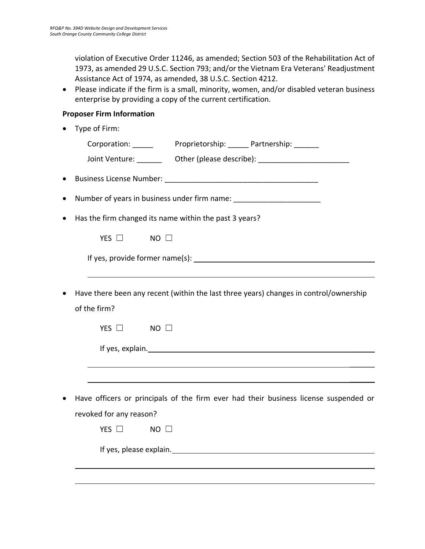violation of Executive Order 11246, as amended; Section 503 of the Rehabilitation Act of 1973, as amended 29 U.S.C. Section 793; and/or the Vietnam Era Veterans' Readjustment Assistance Act of 1974, as amended, 38 U.S.C. Section 4212.

• Please indicate if the firm is a small, minority, women, and/or disabled veteran business enterprise by providing a copy of the current certification.

### **Proposer Firm Information**

• Type of Firm: Corporation: Proprietorship: Partnership: Joint Venture: etc. Other (please describe):  $\blacksquare$ • Business License Number: **Example 19** • Number of years in business under firm name: • Has the firm changed its name within the past 3 years?  $YFS \Box$  NO  $\Box$ If yes, provide former name(s): • Have there been any recent (within the last three years) changes in control/ownership of the firm? YES □ NO □ If yes, explain. The same state of the state of the state of the state of the state of the state of the state of the state of the state of the state of the state of the state of the state of the state of the state of the s  $\mathcal{L}$  $\overline{\phantom{a}}$ • Have officers or principals of the firm ever had their business license suspended or revoked for any reason? YES □ NO □ If yes, please explain.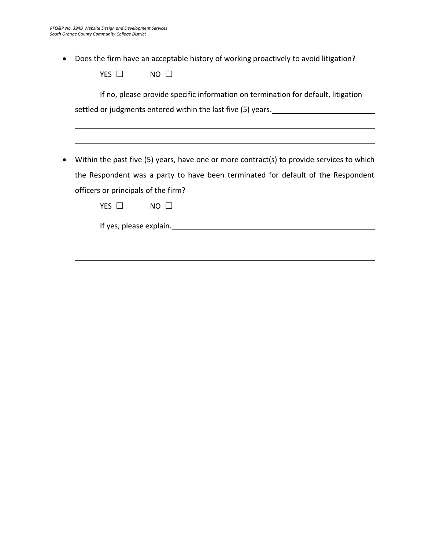• Does the firm have an acceptable history of working proactively to avoid litigation?

| VEC<br><b>F5</b> | NΩ |  |
|------------------|----|--|
|                  |    |  |

If no, please provide specific information on termination for default, litigation settled or judgments entered within the last five (5) years.

• Within the past five (5) years, have one or more contract(s) to provide services to which the Respondent was a party to have been terminated for default of the Respondent officers or principals of the firm?

YES □ NO □

If yes, please explain.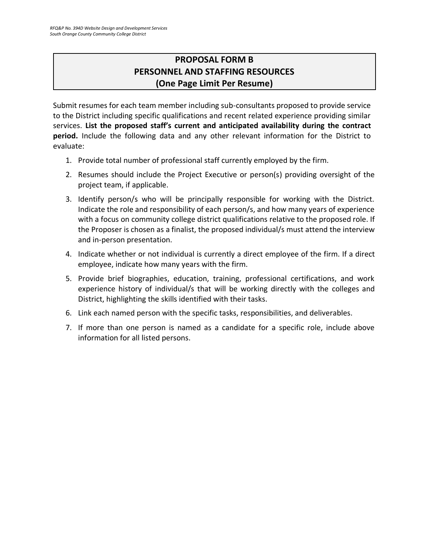# **PROPOSAL FORM B PERSONNEL AND STAFFING RESOURCES (One Page Limit Per Resume)**

<span id="page-22-0"></span>Submit resumes for each team member including sub-consultants proposed to provide service to the District including specific qualifications and recent related experience providing similar services. **List the proposed staff's current and anticipated availability during the contract period.** Include the following data and any other relevant information for the District to evaluate:

- 1. Provide total number of professional staff currently employed by the firm.
- 2. Resumes should include the Project Executive or person(s) providing oversight of the project team, if applicable.
- 3. Identify person/s who will be principally responsible for working with the District. Indicate the role and responsibility of each person/s, and how many years of experience with a focus on community college district qualifications relative to the proposed role. If the Proposer is chosen as a finalist, the proposed individual/s must attend the interview and in-person presentation.
- 4. Indicate whether or not individual is currently a direct employee of the firm. If a direct employee, indicate how many years with the firm.
- 5. Provide brief biographies, education, training, professional certifications, and work experience history of individual/s that will be working directly with the colleges and District, highlighting the skills identified with their tasks.
- 6. Link each named person with the specific tasks, responsibilities, and deliverables.
- 7. If more than one person is named as a candidate for a specific role, include above information for all listed persons.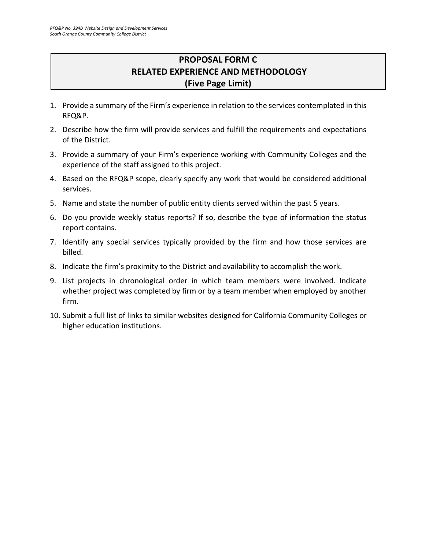# **PROPOSAL FORM C RELATED EXPERIENCE AND METHODOLOGY (Five Page Limit)**

- <span id="page-23-0"></span>1. Provide a summary of the Firm's experience in relation to the services contemplated in this RFQ&P.
- 2. Describe how the firm will provide services and fulfill the requirements and expectations of the District.
- 3. Provide a summary of your Firm's experience working with Community Colleges and the experience of the staff assigned to this project.
- 4. Based on the RFQ&P scope, clearly specify any work that would be considered additional services.
- 5. Name and state the number of public entity clients served within the past 5 years.
- 6. Do you provide weekly status reports? If so, describe the type of information the status report contains.
- 7. Identify any special services typically provided by the firm and how those services are billed.
- 8. Indicate the firm's proximity to the District and availability to accomplish the work.
- 9. List projects in chronological order in which team members were involved. Indicate whether project was completed by firm or by a team member when employed by another firm.
- 10. Submit a full list of links to similar websites designed for California Community Colleges or higher education institutions.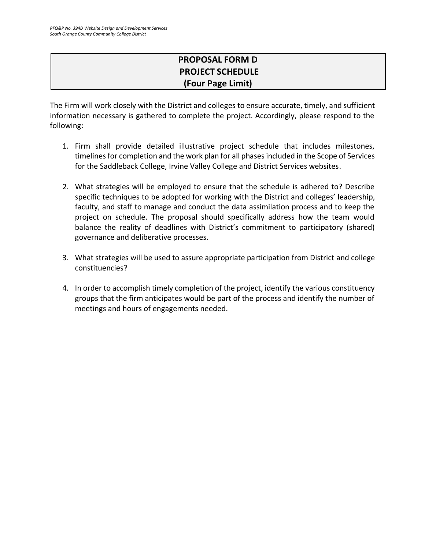# **PROPOSAL FORM D PROJECT SCHEDULE (Four Page Limit)**

The Firm will work closely with the District and colleges to ensure accurate, timely, and sufficient information necessary is gathered to complete the project. Accordingly, please respond to the following:

- 1. Firm shall provide detailed illustrative project schedule that includes milestones, timelines for completion and the work plan for all phases included in the Scope of Services for the Saddleback College, Irvine Valley College and District Services websites.
- 2. What strategies will be employed to ensure that the schedule is adhered to? Describe specific techniques to be adopted for working with the District and colleges' leadership, faculty, and staff to manage and conduct the data assimilation process and to keep the project on schedule. The proposal should specifically address how the team would balance the reality of deadlines with District's commitment to participatory (shared) governance and deliberative processes.
- 3. What strategies will be used to assure appropriate participation from District and college constituencies?
- 4. In order to accomplish timely completion of the project, identify the various constituency groups that the firm anticipates would be part of the process and identify the number of meetings and hours of engagements needed.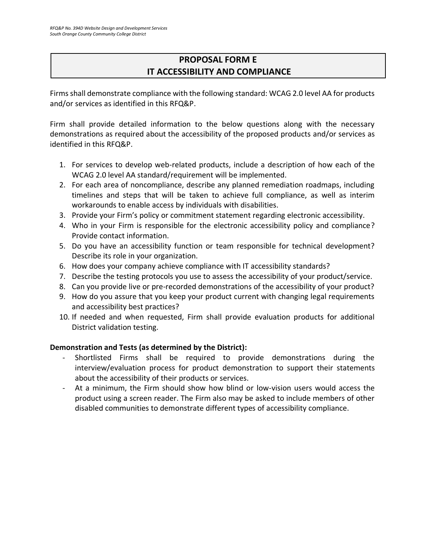# **PROPOSAL FORM E IT ACCESSIBILITY AND COMPLIANCE**

Firms shall demonstrate compliance with the following standard: WCAG 2.0 level AA for products and/or services as identified in this RFQ&P.

Firm shall provide detailed information to the below questions along with the necessary demonstrations as required about the accessibility of the proposed products and/or services as identified in this RFQ&P.

- 1. For services to develop web-related products, include a description of how each of the WCAG 2.0 level AA standard/requirement will be implemented.
- 2. For each area of noncompliance, describe any planned remediation roadmaps, including timelines and steps that will be taken to achieve full compliance, as well as interim workarounds to enable access by individuals with disabilities.
- 3. Provide your Firm's policy or commitment statement regarding electronic accessibility.
- 4. Who in your Firm is responsible for the electronic accessibility policy and compliance? Provide contact information.
- 5. Do you have an accessibility function or team responsible for technical development? Describe its role in your organization.
- 6. How does your company achieve compliance with IT accessibility standards?
- 7. Describe the testing protocols you use to assess the accessibility of your product/service.
- 8. Can you provide live or pre-recorded demonstrations of the accessibility of your product?
- 9. How do you assure that you keep your product current with changing legal requirements and accessibility best practices?
- 10. If needed and when requested, Firm shall provide evaluation products for additional District validation testing.

### **Demonstration and Tests (as determined by the District):**

- Shortlisted Firms shall be required to provide demonstrations during the interview/evaluation process for product demonstration to support their statements about the accessibility of their products or services.
- At a minimum, the Firm should show how blind or low-vision users would access the product using a screen reader. The Firm also may be asked to include members of other disabled communities to demonstrate different types of accessibility compliance.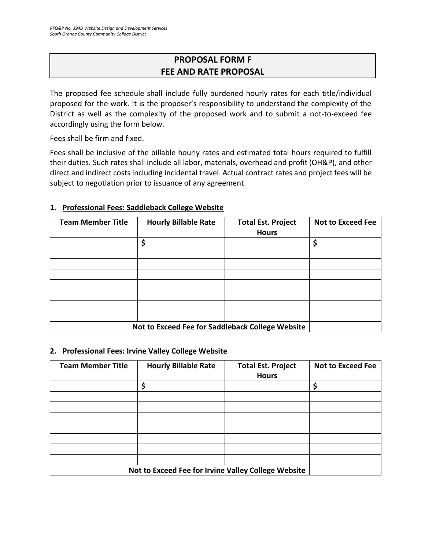# **PROPOSAL FORM F FEE AND RATE PROPOSAL**

<span id="page-26-0"></span>The proposed fee schedule shall include fully burdened hourly rates for each title/individual proposed for the work. It is the proposer's responsibility to understand the complexity of the District as well as the complexity of the proposed work and to submit a not-to-exceed fee accordingly using the form below.

Fees shall be firm and fixed.

Fees shall be inclusive of the billable hourly rates and estimated total hours required to fulfill their duties. Such rates shall include all labor, materials, overhead and profit (OH&P), and other direct and indirect costs including incidental travel. Actual contract rates and project fees will be subject to negotiation prior to issuance of any agreement

| <b>Team Member Title</b>                         | <b>Hourly Billable Rate</b> | <b>Total Est. Project</b><br><b>Hours</b> | <b>Not to Exceed Fee</b> |
|--------------------------------------------------|-----------------------------|-------------------------------------------|--------------------------|
|                                                  | \$                          |                                           | Ś                        |
|                                                  |                             |                                           |                          |
|                                                  |                             |                                           |                          |
|                                                  |                             |                                           |                          |
|                                                  |                             |                                           |                          |
|                                                  |                             |                                           |                          |
|                                                  |                             |                                           |                          |
|                                                  |                             |                                           |                          |
| Not to Exceed Fee for Saddleback College Website |                             |                                           |                          |

### **1. Professional Fees: Saddleback College Website**

### **2. Professional Fees: Irvine Valley College Website**

| <b>Team Member Title</b> | <b>Hourly Billable Rate</b>                         | <b>Total Est. Project</b><br><b>Hours</b> | <b>Not to Exceed Fee</b> |
|--------------------------|-----------------------------------------------------|-------------------------------------------|--------------------------|
|                          | Ś                                                   |                                           | \$                       |
|                          |                                                     |                                           |                          |
|                          |                                                     |                                           |                          |
|                          |                                                     |                                           |                          |
|                          |                                                     |                                           |                          |
|                          |                                                     |                                           |                          |
|                          |                                                     |                                           |                          |
|                          |                                                     |                                           |                          |
|                          | Not to Exceed Fee for Irvine Valley College Website |                                           |                          |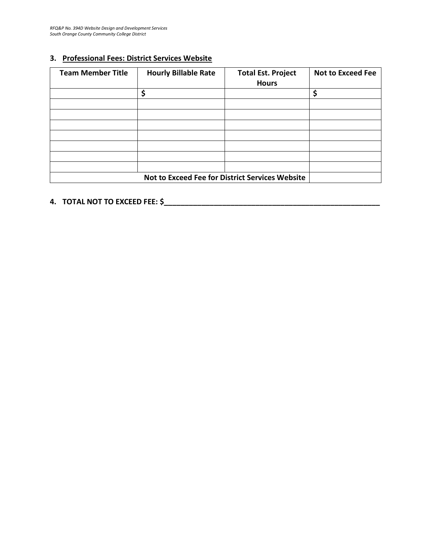### **3. Professional Fees: District Services Website**

| <b>Team Member Title</b>                        | <b>Hourly Billable Rate</b> | <b>Total Est. Project</b><br><b>Hours</b> | <b>Not to Exceed Fee</b> |
|-------------------------------------------------|-----------------------------|-------------------------------------------|--------------------------|
|                                                 | ς                           |                                           | \$                       |
|                                                 |                             |                                           |                          |
|                                                 |                             |                                           |                          |
|                                                 |                             |                                           |                          |
|                                                 |                             |                                           |                          |
|                                                 |                             |                                           |                          |
|                                                 |                             |                                           |                          |
|                                                 |                             |                                           |                          |
| Not to Exceed Fee for District Services Website |                             |                                           |                          |

# **4. TOTAL NOT TO EXCEED FEE: \$\_\_\_\_\_\_\_\_\_\_\_\_\_\_\_\_\_\_\_\_\_\_\_\_\_\_\_\_\_\_\_\_\_\_\_\_\_\_\_\_\_\_\_\_\_\_\_\_\_\_\_\_**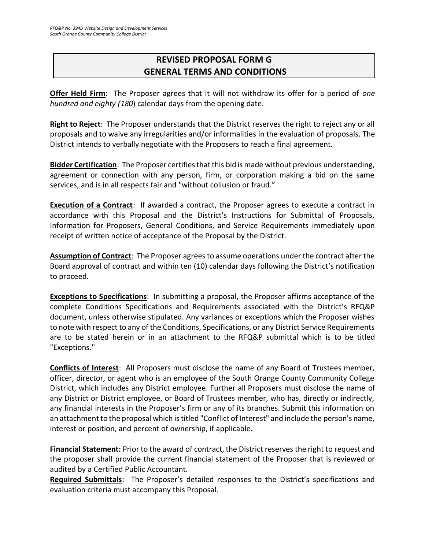# <span id="page-28-0"></span>**REVISED PROPOSAL FORM G GENERAL TERMS AND CONDITIONS**

**Offer Held Firm**: The Proposer agrees that it will not withdraw its offer for a period of *one hundred and eighty (180*) calendar days from the opening date.

**Right to Reject**: The Proposer understands that the District reserves the right to reject any or all proposals and to waive any irregularities and/or informalities in the evaluation of proposals. The District intends to verbally negotiate with the Proposers to reach a final agreement.

**Bidder Certification**: The Proposer certifies that this bid is made without previous understanding, agreement or connection with any person, firm, or corporation making a bid on the same services, and is in all respects fair and "without collusion or fraud."

**Execution of a Contract**: If awarded a contract, the Proposer agrees to execute a contract in accordance with this Proposal and the District's Instructions for Submittal of Proposals, Information for Proposers, General Conditions, and Service Requirements immediately upon receipt of written notice of acceptance of the Proposal by the District.

**Assumption of Contract**: The Proposer agrees to assume operations under the contract after the Board approval of contract and within ten (10) calendar days following the District's notification to proceed.

**Exceptions to Specifications**: In submitting a proposal, the Proposer affirms acceptance of the complete Conditions Specifications and Requirements associated with the District's RFQ&P document, unless otherwise stipulated. Any variances or exceptions which the Proposer wishes to note with respect to any of the Conditions, Specifications, or any District Service Requirements are to be stated herein or in an attachment to the RFQ&P submittal which is to be titled "Exceptions."

**Conflicts of Interest**: All Proposers must disclose the name of any Board of Trustees member, officer, director, or agent who is an employee of the South Orange County Community College District, which includes any District employee. Further all Proposers must disclose the name of any District or District employee, or Board of Trustees member, who has, directly or indirectly, any financial interests in the Proposer's firm or any of its branches. Submit this information on an attachment to the proposal which is titled "Conflict of Interest" and include the person's name, interest or position, and percent of ownership, if applicable**.**

**Financial Statement:** Prior to the award of contract, the District reserves the right to request and the proposer shall provide the current financial statement of the Proposer that is reviewed or audited by a Certified Public Accountant.

**Required Submittals**: The Proposer's detailed responses to the District's specifications and evaluation criteria must accompany this Proposal.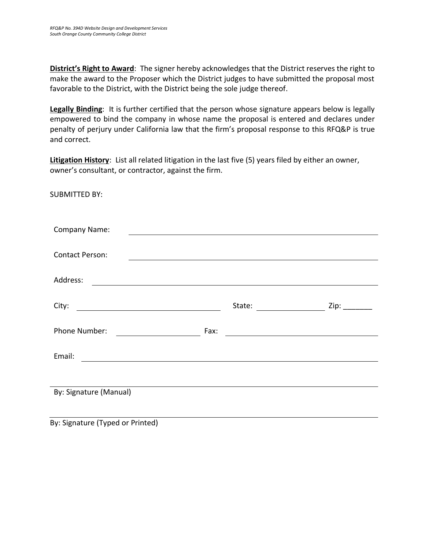**District's Right to Award**: The signer hereby acknowledges that the District reserves the right to make the award to the Proposer which the District judges to have submitted the proposal most favorable to the District, with the District being the sole judge thereof.

**Legally Binding**: It is further certified that the person whose signature appears below is legally empowered to bind the company in whose name the proposal is entered and declares under penalty of perjury under California law that the firm's proposal response to this RFQ&P is true and correct.

**Litigation History**: List all related litigation in the last five (5) years filed by either an owner, owner's consultant, or contractor, against the firm.

SUBMITTED BY:

| <b>Company Name:</b>                                                                                                               |      |                                                                                                                       |           |
|------------------------------------------------------------------------------------------------------------------------------------|------|-----------------------------------------------------------------------------------------------------------------------|-----------|
|                                                                                                                                    |      |                                                                                                                       |           |
| <b>Contact Person:</b>                                                                                                             |      | <u>and the state of the state of the state of the state of the state of the state of the state of the state of th</u> |           |
|                                                                                                                                    |      |                                                                                                                       |           |
| Address:<br><u> 1989 - Johann Stoff, deutscher Stoffen und der Stoffen und der Stoffen und der Stoffen und der Stoffen und der</u> |      |                                                                                                                       |           |
|                                                                                                                                    |      |                                                                                                                       |           |
| City:                                                                                                                              |      | State:                                                                                                                | $Zip:$ __ |
|                                                                                                                                    |      |                                                                                                                       |           |
| Phone Number:                                                                                                                      | Fax: | <u> 1989 - Andrea Station Barbara, amerikan per</u>                                                                   |           |
|                                                                                                                                    |      |                                                                                                                       |           |
| Email:<br><u> 1989 - Johann Barnett, fransk politiker (d. 1989)</u>                                                                |      |                                                                                                                       |           |
|                                                                                                                                    |      |                                                                                                                       |           |
|                                                                                                                                    |      |                                                                                                                       |           |
| By: Signature (Manual)                                                                                                             |      |                                                                                                                       |           |
|                                                                                                                                    |      |                                                                                                                       |           |
|                                                                                                                                    |      |                                                                                                                       |           |

By: Signature (Typed or Printed)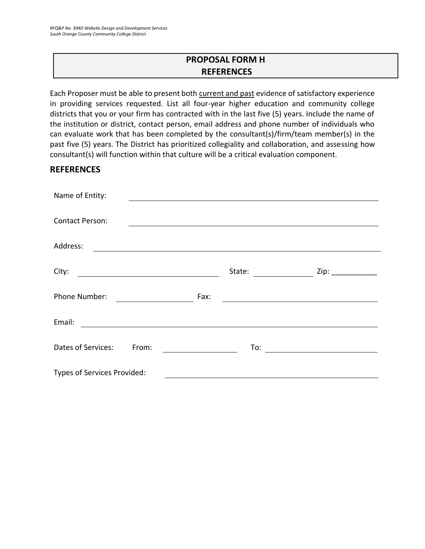# **PROPOSAL FORM H REFERENCES**

<span id="page-30-0"></span>Each Proposer must be able to present both current and past evidence of satisfactory experience in providing services requested. List all four-year higher education and community college districts that you or your firm has contracted with in the last five (5) years. Include the name of the institution or district, contact person, email address and phone number of individuals who can evaluate work that has been completed by the consultant(s)/firm/team member(s) in the past five (5) years. The District has prioritized collegiality and collaboration, and assessing how consultant(s) will function within that culture will be a critical evaluation component.

### **REFERENCES**

| Name of Entity:                                                                                                                  |        |                      |
|----------------------------------------------------------------------------------------------------------------------------------|--------|----------------------|
|                                                                                                                                  |        |                      |
| <b>Contact Person:</b>                                                                                                           |        |                      |
| Address:<br><u> 1989 - Andrea State Barbara, amerikan personal di sebagai personal di sebagai personal di sebagai personal d</u> |        |                      |
| City:                                                                                                                            | State: | Zip: $\qquad \qquad$ |
| <u> 1989 - Johann Barbara, martxa amerikan per</u>                                                                               |        |                      |
| Phone Number:                                                                                                                    | Fax:   |                      |
| Email:                                                                                                                           |        |                      |
| Dates of Services:<br>From:                                                                                                      | To:    |                      |
| Types of Services Provided:                                                                                                      |        |                      |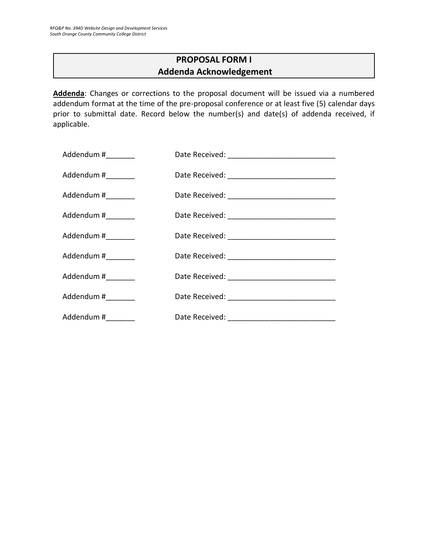## **PROPOSAL FORM I Addenda Acknowledgement**

<span id="page-31-0"></span>**Addenda**: Changes or corrections to the proposal document will be issued via a numbered addendum format at the time of the pre-proposal conference or at least five (5) calendar days prior to submittal date. Record below the number(s) and date(s) of addenda received, if applicable.

| Addendum #_________ |  |
|---------------------|--|
| Addendum #_________ |  |
| Addendum #________  |  |
| Addendum #_________ |  |
| Addendum #          |  |
| Addendum #_________ |  |
| Addendum #________  |  |
| Addendum #_________ |  |
| Addendum #_________ |  |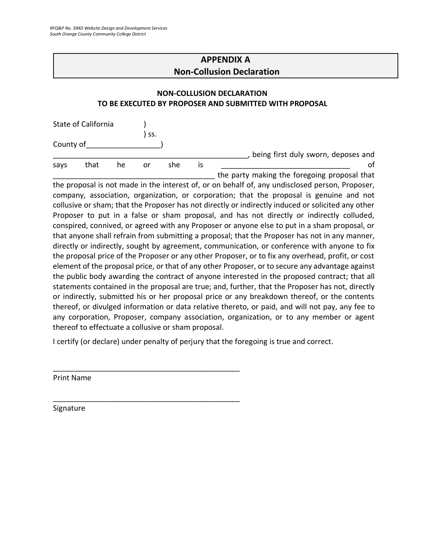# **APPENDIX A Non-Collusion Declaration**

### <span id="page-32-0"></span>**NON-COLLUSION DECLARATION TO BE EXECUTED BY PROPOSER AND SUBMITTED WITH PROPOSAL**

|           | State of California |    |     |     |    |                                              |
|-----------|---------------------|----|-----|-----|----|----------------------------------------------|
|           |                     |    | SS. |     |    |                                              |
| County of |                     |    |     |     |    |                                              |
|           |                     |    |     |     |    | being first duly sworn, deposes and          |
| says      | that                | he | or  | she | IS |                                              |
|           |                     |    |     |     |    | the party making the foregoing proposal that |

the proposal is not made in the interest of, or on behalf of, any undisclosed person, Proposer, company, association, organization, or corporation; that the proposal is genuine and not collusive or sham; that the Proposer has not directly or indirectly induced or solicited any other Proposer to put in a false or sham proposal, and has not directly or indirectly colluded, conspired, connived, or agreed with any Proposer or anyone else to put in a sham proposal, or that anyone shall refrain from submitting a proposal; that the Proposer has not in any manner, directly or indirectly, sought by agreement, communication, or conference with anyone to fix the proposal price of the Proposer or any other Proposer, or to fix any overhead, profit, or cost element of the proposal price, or that of any other Proposer, or to secure any advantage against the public body awarding the contract of anyone interested in the proposed contract; that all statements contained in the proposal are true; and, further, that the Proposer has not, directly or indirectly, submitted his or her proposal price or any breakdown thereof, or the contents thereof, or divulged information or data relative thereto, or paid, and will not pay, any fee to any corporation, Proposer, company association, organization, or to any member or agent thereof to effectuate a collusive or sham proposal.

I certify (or declare) under penalty of perjury that the foregoing is true and correct.

\_\_\_\_\_\_\_\_\_\_\_\_\_\_\_\_\_\_\_\_\_\_\_\_\_\_\_\_\_\_\_\_\_\_\_\_\_\_\_\_\_\_\_\_\_

\_\_\_\_\_\_\_\_\_\_\_\_\_\_\_\_\_\_\_\_\_\_\_\_\_\_\_\_\_\_\_\_\_\_\_\_\_\_\_\_\_\_\_\_\_

Print Name

Signature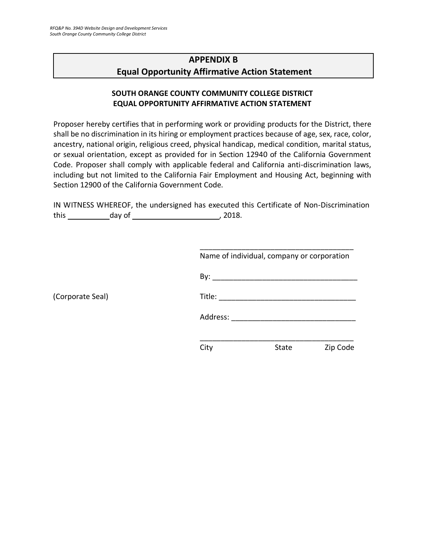(Corporate Seal)

# <span id="page-33-0"></span>**APPENDIX B Equal Opportunity Affirmative Action Statement**

### **SOUTH ORANGE COUNTY COMMUNITY COLLEGE DISTRICT EQUAL OPPORTUNITY AFFIRMATIVE ACTION STATEMENT**

Proposer hereby certifies that in performing work or providing products for the District, there shall be no discrimination in its hiring or employment practices because of age, sex, race, color, ancestry, national origin, religious creed, physical handicap, medical condition, marital status, or sexual orientation, except as provided for in Section 12940 of the California Government Code. Proposer shall comply with applicable federal and California anti-discrimination laws, including but not limited to the California Fair Employment and Housing Act, beginning with Section 12900 of the California Government Code.

IN WITNESS WHEREOF, the undersigned has executed this Certificate of Non-Discrimination this day of , 2018.

|          | Name of individual, company or corporation |          |
|----------|--------------------------------------------|----------|
|          |                                            |          |
|          |                                            |          |
| Address: |                                            |          |
|          |                                            |          |
| City     | State                                      | Zip Code |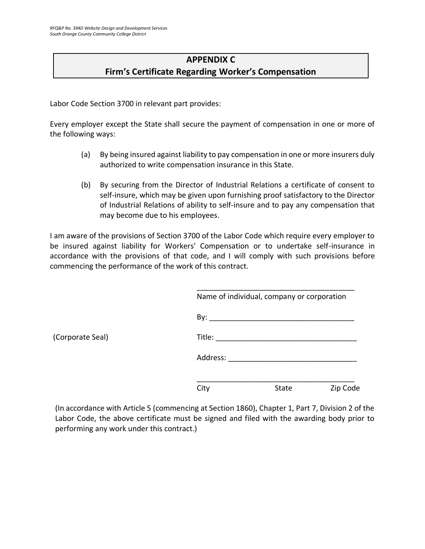# **APPENDIX C Firm's Certificate Regarding Worker's Compensation**

<span id="page-34-0"></span>Labor Code Section 3700 in relevant part provides:

Every employer except the State shall secure the payment of compensation in one or more of the following ways:

- (a) By being insured against liability to pay compensation in one or more insurers duly authorized to write compensation insurance in this State.
- (b) By securing from the Director of Industrial Relations a certificate of consent to self-insure, which may be given upon furnishing proof satisfactory to the Director of Industrial Relations of ability to self-insure and to pay any compensation that may become due to his employees.

I am aware of the provisions of Section 3700 of the Labor Code which require every employer to be insured against liability for Workers' Compensation or to undertake self-insurance in accordance with the provisions of that code, and I will comply with such provisions before commencing the performance of the work of this contract.

|          | Name of individual, company or corporation |          |
|----------|--------------------------------------------|----------|
|          |                                            |          |
| Title:   |                                            |          |
| Address: |                                            |          |
| City     | <b>State</b>                               | Zip Code |

(In accordance with Article 5 (commencing at Section 1860), Chapter 1, Part 7, Division 2 of the Labor Code, the above certificate must be signed and filed with the awarding body prior to performing any work under this contract.)

(Corporate Seal)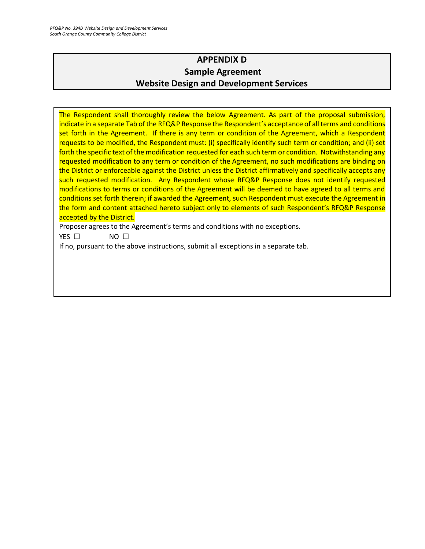# **APPENDIX D Sample Agreement Website Design and Development Services**

<span id="page-35-0"></span>The Respondent shall thoroughly review the below Agreement. As part of the proposal submission, indicate in a separate Tab of the RFQ&P Response the Respondent's acceptance of all terms and conditions set forth in the Agreement. If there is any term or condition of the Agreement, which a Respondent requests to be modified, the Respondent must: (i) specifically identify such term or condition; and (ii) set forth the specific text of the modification requested for each such term or condition. Notwithstanding any requested modification to any term or condition of the Agreement, no such modifications are binding on the District or enforceable against the District unless the District affirmatively and specifically accepts any such requested modification. Any Respondent whose RFQ&P Response does not identify requested modifications to terms or conditions of the Agreement will be deemed to have agreed to all terms and conditions set forth therein; if awarded the Agreement, such Respondent must execute the Agreement in the form and content attached hereto subject only to elements of such Respondent's RFQ&P Response accepted by the District.

Proposer agrees to the Agreement's terms and conditions with no exceptions.

YES □ NO □

If no, pursuant to the above instructions, submit all exceptions in a separate tab.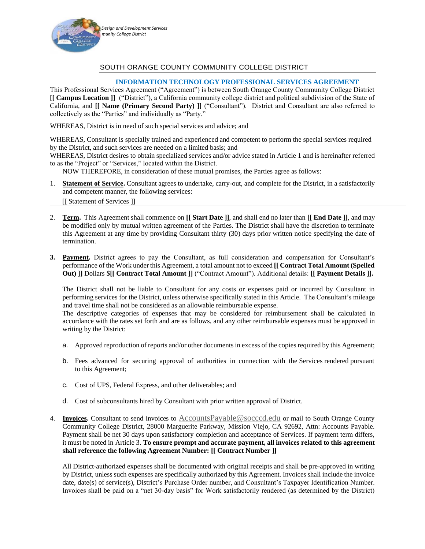

### SOUTH ORANGE COUNTY COMMUNITY COLLEGE DISTRICT

#### **INFORMATION TECHNOLOGY PROFESSIONAL SERVICES AGREEMENT**

This Professional Services Agreement ("Agreement") is between South Orange County Community College District **[[ Campus Location ]]** ("District"), a California community college district and political subdivision of the State of California, and **[[ Name (Primary Second Party) ]]** ("Consultant"). District and Consultant are also referred to collectively as the "Parties" and individually as "Party."

WHEREAS, District is in need of such special services and advice; and

WHEREAS, Consultant is specially trained and experienced and competent to perform the special services required by the District, and such services are needed on a limited basis; and

WHEREAS, District desires to obtain specialized services and/or advice stated in Article 1 and is hereinafter referred to as the "Project" or "Services," located within the District.

NOW THEREFORE, in consideration of these mutual promises, the Parties agree as follows:

- 1. **Statement of Service.** Consultant agrees to undertake, carry-out, and complete for the District, in a satisfactorily and competent manner, the following services: [[ Statement of Services ]]
- 2. **Term.** This Agreement shall commence on **[[ Start Date ]]**, and shall end no later than **[[ End Date ]]**, and may be modified only by mutual written agreement of the Parties. The District shall have the discretion to terminate this Agreement at any time by providing Consultant thirty (30) days prior written notice specifying the date of termination.
- **3. Payment.** District agrees to pay the Consultant, as full consideration and compensation for Consultant's performance of the Work under this Agreement, a total amount not to exceed **[[ Contract Total Amount (Spelled Out) ]]** Dollars \$**[[ Contract Total Amount ]]** ("Contract Amount"). Additional details: **[[ Payment Details ]].**

The District shall not be liable to Consultant for any costs or expenses paid or incurred by Consultant in performing services for the District, unless otherwise specifically stated in this Article. The Consultant's mileage and travel time shall not be considered as an allowable reimbursable expense.

The descriptive categories of expenses that may be considered for reimbursement shall be calculated in accordance with the rates set forth and are as follows, and any other reimbursable expenses must be approved in writing by the District:

- a. Approved reproduction of reports and/or other documents in excess of the copies required by this Agreement;
- b. Fees advanced for securing approval of authorities in connection with the Services rendered pursuant to this Agreement;
- c. Cost of UPS, Federal Express, and other deliverables; and
- d. Cost of subconsultants hired by Consultant with prior written approval of District.
- 4. **Invoices.** Consultant to send invoices to [AccountsPayable@socccd.edu](mailto:AccountsPayable@socccd.edu) or mail to South Orange County Community College District, 28000 Marguerite Parkway, Mission Viejo, CA 92692, Attn: Accounts Payable. Payment shall be net 30 days upon satisfactory completion and acceptance of Services. If payment term differs, it must be noted in Article 3. **To ensure prompt and accurate payment, all invoices related to this agreement shall reference the following Agreement Number: [[ Contract Number ]]**

All District-authorized expenses shall be documented with original receipts and shall be pre-approved in writing by District, unless such expenses are specifically authorized by this Agreement. Invoices shall include the invoice date, date(s) of service(s), District's Purchase Order number, and Consultant's Taxpayer Identification Number. Invoices shall be paid on a "net 30-day basis" for Work satisfactorily rendered (as determined by the District)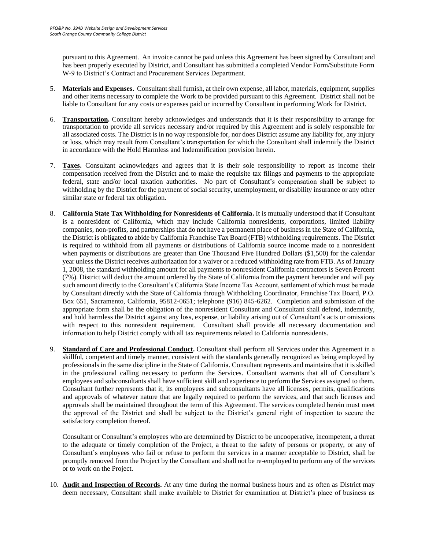pursuant to this Agreement. An invoice cannot be paid unless this Agreement has been signed by Consultant and has been properly executed by District, and Consultant has submitted a completed Vendor Form/Substitute Form W-9 to District's Contract and Procurement Services Department.

- 5. **Materials and Expenses.** Consultant shall furnish, at their own expense, all labor, materials, equipment, supplies and other items necessary to complete the Work to be provided pursuant to this Agreement. District shall not be liable to Consultant for any costs or expenses paid or incurred by Consultant in performing Work for District.
- 6. **Transportation.** Consultant hereby acknowledges and understands that it is their responsibility to arrange for transportation to provide all services necessary and/or required by this Agreement and is solely responsible for all associated costs. The District is in no way responsible for, nor does District assume any liability for, any injury or loss, which may result from Consultant's transportation for which the Consultant shall indemnify the District in accordance with the Hold Harmless and Indemnification provision herein.
- 7. **Taxes.** Consultant acknowledges and agrees that it is their sole responsibility to report as income their compensation received from the District and to make the requisite tax filings and payments to the appropriate federal, state and/or local taxation authorities. No part of Consultant's compensation shall be subject to withholding by the District for the payment of social security, unemployment, or disability insurance or any other similar state or federal tax obligation.
- 8. **California State Tax Withholding for Nonresidents of California.** It is mutually understood that if Consultant is a nonresident of California, which may include California nonresidents, corporations, limited liability companies, non-profits, and partnerships that do not have a permanent place of business in the State of California, the District is obligated to abide by California Franchise Tax Board (FTB) withholding requirements. The District is required to withhold from all payments or distributions of California source income made to a nonresident when payments or distributions are greater than One Thousand Five Hundred Dollars (\$1,500) for the calendar year unless the District receives authorization for a waiver or a reduced withholding rate from FTB. As of January 1, 2008, the standard withholding amount for all payments to nonresident California contractors is Seven Percent (7%). District will deduct the amount ordered by the State of California from the payment hereunder and will pay such amount directly to the Consultant's California State Income Tax Account, settlement of which must be made by Consultant directly with the State of California through Withholding Coordinator, Franchise Tax Board, P.O. Box 651, Sacramento, California, 95812-0651; telephone (916) 845-6262. Completion and submission of the appropriate form shall be the obligation of the nonresident Consultant and Consultant shall defend, indemnify, and hold harmless the District against any loss, expense, or liability arising out of Consultant's acts or omissions with respect to this nonresident requirement. Consultant shall provide all necessary documentation and information to help District comply with all tax requirements related to California nonresidents.
- 9. **Standard of Care and Professional Conduct.** Consultant shall perform all Services under this Agreement in a skillful, competent and timely manner, consistent with the standards generally recognized as being employed by professionals in the same discipline in the State of California. Consultant represents and maintains that it is skilled in the professional calling necessary to perform the Services. Consultant warrants that all of Consultant's employees and subconsultants shall have sufficient skill and experience to perform the Services assigned to them. Consultant further represents that it, its employees and subconsultants have all licenses, permits, qualifications and approvals of whatever nature that are legally required to perform the services, and that such licenses and approvals shall be maintained throughout the term of this Agreement. The services completed herein must meet the approval of the District and shall be subject to the District's general right of inspection to secure the satisfactory completion thereof.

Consultant or Consultant's employees who are determined by District to be uncooperative, incompetent, a threat to the adequate or timely completion of the Project, a threat to the safety of persons or property, or any of Consultant's employees who fail or refuse to perform the services in a manner acceptable to District, shall be promptly removed from the Project by the Consultant and shall not be re-employed to perform any of the services or to work on the Project.

10. **Audit and Inspection of Records.** At any time during the normal business hours and as often as District may deem necessary, Consultant shall make available to District for examination at District's place of business as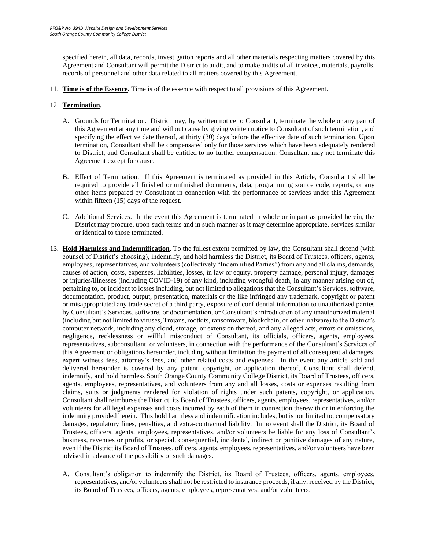specified herein, all data, records, investigation reports and all other materials respecting matters covered by this Agreement and Consultant will permit the District to audit, and to make audits of all invoices, materials, payrolls, records of personnel and other data related to all matters covered by this Agreement.

11. **Time is of the Essence.** Time is of the essence with respect to all provisions of this Agreement.

#### 12. **Termination.**

- A. Grounds for Termination. District may, by written notice to Consultant, terminate the whole or any part of this Agreement at any time and without cause by giving written notice to Consultant of such termination, and specifying the effective date thereof, at thirty (30) days before the effective date of such termination. Upon termination, Consultant shall be compensated only for those services which have been adequately rendered to District, and Consultant shall be entitled to no further compensation. Consultant may not terminate this Agreement except for cause.
- B. Effect of Termination. If this Agreement is terminated as provided in this Article, Consultant shall be required to provide all finished or unfinished documents, data, programming source code, reports, or any other items prepared by Consultant in connection with the performance of services under this Agreement within fifteen (15) days of the request.
- C. Additional Services. In the event this Agreement is terminated in whole or in part as provided herein, the District may procure, upon such terms and in such manner as it may determine appropriate, services similar or identical to those terminated.
- 13. **Hold Harmless and Indemnification.** To the fullest extent permitted by law, the Consultant shall defend (with counsel of District's choosing), indemnify, and hold harmless the District, its Board of Trustees, officers, agents, employees, representatives, and volunteers (collectively "Indemnified Parties") from any and all claims, demands, causes of action, costs, expenses, liabilities, losses, in law or equity, property damage, personal injury, damages or injuries/illnesses (including COVID-19) of any kind, including wrongful death, in any manner arising out of, pertaining to, or incident to losses including, but not limited to allegations that the Consultant's Services, software, documentation, product, output, presentation, materials or the like infringed any trademark, copyright or patent or misappropriated any trade secret of a third party, exposure of confidential information to unauthorized parties by Consultant's Services, software, or documentation, or Consultant's introduction of any unauthorized material (including but not limited to viruses, Trojans, rootkits, ransomware, blockchain, or other malware) to the District's computer network, including any cloud, storage, or extension thereof, and any alleged acts, errors or omissions, negligence, recklessness or willful misconduct of Consultant, its officials, officers, agents, employees, representatives, subconsultant, or volunteers, in connection with the performance of the Consultant's Services of this Agreement or obligations hereunder, including without limitation the payment of all consequential damages, expert witness fees, attorney's fees, and other related costs and expenses. In the event any article sold and delivered hereunder is covered by any patent, copyright, or application thereof, Consultant shall defend, indemnify, and hold harmless South Orange County Community College District, its Board of Trustees, officers, agents, employees, representatives, and volunteers from any and all losses, costs or expenses resulting from claims, suits or judgments rendered for violation of rights under such patents, copyright, or application. Consultant shall reimburse the District, its Board of Trustees, officers, agents, employees, representatives, and/or volunteers for all legal expenses and costs incurred by each of them in connection therewith or in enforcing the indemnity provided herein. This hold harmless and indemnification includes, but is not limited to, compensatory damages, regulatory fines, penalties, and extra-contractual liability. In no event shall the District, its Board of Trustees, officers, agents, employees, representatives, and/or volunteers be liable for any loss of Consultant's business, revenues or profits, or special, consequential, incidental, indirect or punitive damages of any nature, even if the District its Board of Trustees, officers, agents, employees, representatives, and/or volunteers have been advised in advance of the possibility of such damages.
	- A. Consultant's obligation to indemnify the District, its Board of Trustees, officers, agents, employees, representatives, and/or volunteers shall not be restricted to insurance proceeds, if any, received by the District, its Board of Trustees, officers, agents, employees, representatives, and/or volunteers.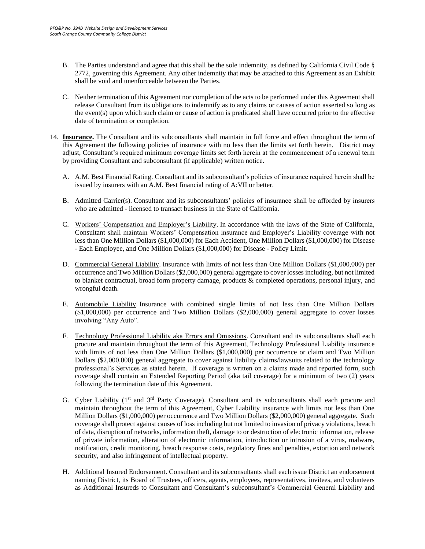- B. The Parties understand and agree that this shall be the sole indemnity, as defined by California Civil Code § 2772, governing this Agreement. Any other indemnity that may be attached to this Agreement as an Exhibit shall be void and unenforceable between the Parties.
- C. Neither termination of this Agreement nor completion of the acts to be performed under this Agreement shall release Consultant from its obligations to indemnify as to any claims or causes of action asserted so long as the event(s) upon which such claim or cause of action is predicated shall have occurred prior to the effective date of termination or completion.
- 14. **Insurance.** The Consultant and its subconsultants shall maintain in full force and effect throughout the term of this Agreement the following policies of insurance with no less than the limits set forth herein. District may adjust, Consultant's required minimum coverage limits set forth herein at the commencement of a renewal term by providing Consultant and subconsultant (if applicable) written notice.
	- A. A.M. Best Financial Rating. Consultant and its subconsultant's policies of insurance required herein shall be issued by insurers with an A.M. Best financial rating of A:VII or better.
	- B. Admitted Carrier(s). Consultant and its subconsultants' policies of insurance shall be afforded by insurers who are admitted - licensed to transact business in the State of California.
	- C. Workers' Compensation and Employer's Liability. In accordance with the laws of the State of California, Consultant shall maintain Workers' Compensation insurance and Employer's Liability coverage with not less than One Million Dollars (\$1,000,000) for Each Accident, One Million Dollars (\$1,000,000) for Disease - Each Employee, and One Million Dollars (\$1,000,000) for Disease - Policy Limit.
	- D. Commercial General Liability. Insurance with limits of not less than One Million Dollars (\$1,000,000) per occurrence and Two Million Dollars (\$2,000,000) general aggregate to cover losses including, but not limited to blanket contractual, broad form property damage, products & completed operations, personal injury, and wrongful death.
	- E. Automobile Liability. Insurance with combined single limits of not less than One Million Dollars (\$1,000,000) per occurrence and Two Million Dollars (\$2,000,000) general aggregate to cover losses involving "Any Auto".
	- F. Technology Professional Liability aka Errors and Omissions. Consultant and its subconsultants shall each procure and maintain throughout the term of this Agreement, Technology Professional Liability insurance with limits of not less than One Million Dollars (\$1,000,000) per occurrence or claim and Two Million Dollars (\$2,000,000) general aggregate to cover against liability claims/lawsuits related to the technology professional's Services as stated herein. If coverage is written on a claims made and reported form, such coverage shall contain an Extended Reporting Period (aka tail coverage) for a minimum of two (2) years following the termination date of this Agreement.
	- G. Cyber Liability (1<sup>st</sup> and 3<sup>rd</sup> Party Coverage). Consultant and its subconsultants shall each procure and maintain throughout the term of this Agreement, Cyber Liability insurance with limits not less than One Million Dollars (\$1,000,000) per occurrence and Two Million Dollars (\$2,000,000) general aggregate. Such coverage shall protect against causes of loss including but not limited to invasion of privacy violations, breach of data, disruption of networks, information theft, damage to or destruction of electronic information, release of private information, alteration of electronic information, introduction or intrusion of a virus, malware, notification, credit monitoring, breach response costs, regulatory fines and penalties, extortion and network security, and also infringement of intellectual property.
	- H. Additional Insured Endorsement. Consultant and its subconsultants shall each issue District an endorsement naming District, its Board of Trustees, officers, agents, employees, representatives, invitees, and volunteers as Additional Insureds to Consultant and Consultant's subconsultant's Commercial General Liability and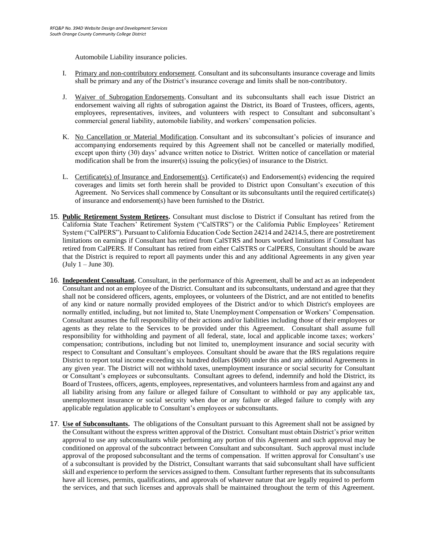Automobile Liability insurance policies.

- I. Primary and non-contributory endorsement. Consultant and its subconsultants insurance coverage and limits shall be primary and any of the District's insurance coverage and limits shall be non-contributory.
- J. Waiver of Subrogation Endorsements. Consultant and its subconsultants shall each issue District an endorsement waiving all rights of subrogation against the District, its Board of Trustees, officers, agents, employees, representatives, invitees, and volunteers with respect to Consultant and subconsultant's commercial general liability, automobile liability, and workers' compensation policies.
- K. No Cancellation or Material Modification. Consultant and its subconsultant's policies of insurance and accompanying endorsements required by this Agreement shall not be cancelled or materially modified, except upon thirty (30) days' advance written notice to District. Written notice of cancellation or material modification shall be from the insurer(s) issuing the policy(ies) of insurance to the District.
- L. Certificate(s) of Insurance and Endorsement(s). Certificate(s) and Endorsement(s) evidencing the required coverages and limits set forth herein shall be provided to District upon Consultant's execution of this Agreement. No Services shall commence by Consultant or its subconsultants until the required certificate(s) of insurance and endorsement(s) have been furnished to the District.
- 15. **Public Retirement System Retirees.** Consultant must disclose to District if Consultant has retired from the California State Teachers' Retirement System ("CalSTRS") or the California Public Employees' Retirement System ("CalPERS"). Pursuant to California Education Code Section 24214 and 24214.5, there are postretirement limitations on earnings if Consultant has retired from CalSTRS and hours worked limitations if Consultant has retired from CalPERS. If Consultant has retired from either CalSTRS or CalPERS, Consultant should be aware that the District is required to report all payments under this and any additional Agreements in any given year  $(July 1 - June 30).$
- 16. **Independent Consultant.** Consultant, in the performance of this Agreement, shall be and act as an independent Consultant and not an employee of the District. Consultant and its subconsultants, understand and agree that they shall not be considered officers, agents, employees, or volunteers of the District, and are not entitled to benefits of any kind or nature normally provided employees of the District and/or to which District's employees are normally entitled, including, but not limited to, State Unemployment Compensation or Workers' Compensation. Consultant assumes the full responsibility of their actions and/or liabilities including those of their employees or agents as they relate to the Services to be provided under this Agreement. Consultant shall assume full responsibility for withholding and payment of all federal, state, local and applicable income taxes; workers' compensation; contributions, including but not limited to, unemployment insurance and social security with respect to Consultant and Consultant's employees. Consultant should be aware that the IRS regulations require District to report total income exceeding six hundred dollars (\$600) under this and any additional Agreements in any given year. The District will not withhold taxes, unemployment insurance or social security for Consultant or Consultant's employees or subconsultants. Consultant agrees to defend, indemnify and hold the District, its Board of Trustees, officers, agents, employees, representatives, and volunteers harmless from and against any and all liability arising from any failure or alleged failure of Consultant to withhold or pay any applicable tax, unemployment insurance or social security when due or any failure or alleged failure to comply with any applicable regulation applicable to Consultant's employees or subconsultants.
- 17. **Use of Subconsultants.** The obligations of the Consultant pursuant to this Agreement shall not be assigned by the Consultant without the express written approval of the District. Consultant must obtain District's prior written approval to use any subconsultants while performing any portion of this Agreement and such approval may be conditioned on approval of the subcontract between Consultant and subconsultant. Such approval must include approval of the proposed subconsultant and the terms of compensation. If written approval for Consultant's use of a subconsultant is provided by the District, Consultant warrants that said subconsultant shall have sufficient skill and experience to perform the services assigned to them. Consultant further represents that its subconsultants have all licenses, permits, qualifications, and approvals of whatever nature that are legally required to perform the services, and that such licenses and approvals shall be maintained throughout the term of this Agreement.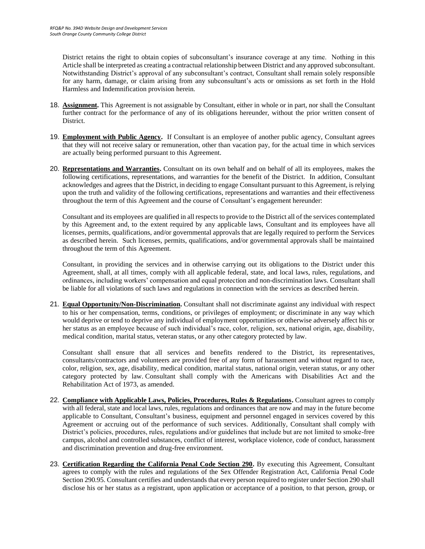District retains the right to obtain copies of subconsultant's insurance coverage at any time. Nothing in this Article shall be interpreted as creating a contractual relationship between District and any approved subconsultant. Notwithstanding District's approval of any subconsultant's contract, Consultant shall remain solely responsible for any harm, damage, or claim arising from any subconsultant's acts or omissions as set forth in the Hold Harmless and Indemnification provision herein.

- 18. **Assignment.** This Agreement is not assignable by Consultant, either in whole or in part, nor shall the Consultant further contract for the performance of any of its obligations hereunder, without the prior written consent of District.
- 19. **Employment with Public Agency.** If Consultant is an employee of another public agency, Consultant agrees that they will not receive salary or remuneration, other than vacation pay, for the actual time in which services are actually being performed pursuant to this Agreement.
- 20. **Representations and Warranties.** Consultant on its own behalf and on behalf of all its employees, makes the following certifications, representations, and warranties for the benefit of the District. In addition, Consultant acknowledges and agrees that the District, in deciding to engage Consultant pursuant to this Agreement, is relying upon the truth and validity of the following certifications, representations and warranties and their effectiveness throughout the term of this Agreement and the course of Consultant's engagement hereunder:

Consultant and its employees are qualified in all respects to provide to the District all of the services contemplated by this Agreement and, to the extent required by any applicable laws, Consultant and its employees have all licenses, permits, qualifications, and/or governmental approvals that are legally required to perform the Services as described herein. Such licenses, permits, qualifications, and/or governmental approvals shall be maintained throughout the term of this Agreement.

Consultant, in providing the services and in otherwise carrying out its obligations to the District under this Agreement, shall, at all times, comply with all applicable federal, state, and local laws, rules, regulations, and ordinances, including workers' compensation and equal protection and non-discrimination laws. Consultant shall be liable for all violations of such laws and regulations in connection with the services as described herein.

21. **Equal Opportunity/Non-Discrimination.** Consultant shall not discriminate against any individual with respect to his or her compensation, terms, conditions, or privileges of employment; or discriminate in any way which would deprive or tend to deprive any individual of employment opportunities or otherwise adversely affect his or her status as an employee because of such individual's race, color, religion, sex, national origin, age, disability, medical condition, marital status, veteran status, or any other category protected by law.

Consultant shall ensure that all services and benefits rendered to the District, its representatives, consultants/contractors and volunteers are provided free of any form of harassment and without regard to race, color, religion, sex, age, disability, medical condition, marital status, national origin, veteran status, or any other category protected by law. Consultant shall comply with the Americans with Disabilities Act and the Rehabilitation Act of 1973, as amended.

- 22. **Compliance with Applicable Laws, Policies, Procedures, Rules & Regulations.** Consultant agrees to comply with all federal, state and local laws, rules, regulations and ordinances that are now and may in the future become applicable to Consultant, Consultant's business, equipment and personnel engaged in services covered by this Agreement or accruing out of the performance of such services. Additionally, Consultant shall comply with District's policies, procedures, rules, regulations and/or guidelines that include but are not limited to smoke-free campus, alcohol and controlled substances, conflict of interest, workplace violence, code of conduct, harassment and discrimination prevention and drug-free environment.
- 23. **Certification Regarding the California Penal Code Section 290.** By executing this Agreement, Consultant agrees to comply with the rules and regulations of the Sex Offender Registration Act, California Penal Code Section 290.95. Consultant certifies and understands that every person required to register under Section 290 shall disclose his or her status as a registrant, upon application or acceptance of a position, to that person, group, or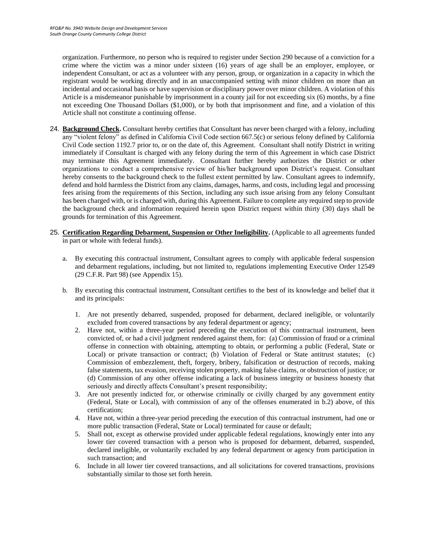organization. Furthermore, no person who is required to register under Section 290 because of a conviction for a crime where the victim was a minor under sixteen (16) years of age shall be an employer, employee, or independent Consultant, or act as a volunteer with any person, group, or organization in a capacity in which the registrant would be working directly and in an unaccompanied setting with minor children on more than an incidental and occasional basis or have supervision or disciplinary power over minor children. A violation of this Article is a misdemeanor punishable by imprisonment in a county jail for not exceeding six (6) months, by a fine not exceeding One Thousand Dollars (\$1,000), or by both that imprisonment and fine, and a violation of this Article shall not constitute a continuing offense.

- 24. **Background Check.** Consultant hereby certifies that Consultant has never been charged with a felony, including any "violent felony" as defined in California Civil Code section 667.5(c) or serious felony defined by California Civil Code section 1192.7 prior to, or on the date of, this Agreement. Consultant shall notify District in writing immediately if Consultant is charged with any felony during the term of this Agreement in which case District may terminate this Agreement immediately. Consultant further hereby authorizes the District or other organizations to conduct a comprehensive review of his/her background upon District's request. Consultant hereby consents to the background check to the fullest extent permitted by law. Consultant agrees to indemnify, defend and hold harmless the District from any claims, damages, harms, and costs, including legal and processing fees arising from the requirements of this Section, including any such issue arising from any felony Consultant has been charged with, or is charged with, during this Agreement. Failure to complete any required step to provide the background check and information required herein upon District request within thirty (30) days shall be grounds for termination of this Agreement.
- 25. **Certification Regarding Debarment, Suspension or Other Ineligibility.** (Applicable to all agreements funded in part or whole with federal funds).
	- a. By executing this contractual instrument, Consultant agrees to comply with applicable federal suspension and debarment regulations, including, but not limited to, regulations implementing Executive Order 12549 (29 C.F.R. Part 98) (see Appendix 15).
	- b. By executing this contractual instrument, Consultant certifies to the best of its knowledge and belief that it and its principals:
		- 1. Are not presently debarred, suspended, proposed for debarment, declared ineligible, or voluntarily excluded from covered transactions by any federal department or agency;
		- 2. Have not, within a three-year period preceding the execution of this contractual instrument, been convicted of, or had a civil judgment rendered against them, for: (a) Commission of fraud or a criminal offense in connection with obtaining, attempting to obtain, or performing a public (Federal, State or Local) or private transaction or contract; (b) Violation of Federal or State antitrust statutes; (c) Commission of embezzlement, theft, forgery, bribery, falsification or destruction of records, making false statements, tax evasion, receiving stolen property, making false claims, or obstruction of justice; or (d) Commission of any other offense indicating a lack of business integrity or business honesty that seriously and directly affects Consultant's present responsibility;
		- 3. Are not presently indicted for, or otherwise criminally or civilly charged by any government entity (Federal, State or Local), with commission of any of the offenses enumerated in b.2) above, of this certification;
		- 4. Have not, within a three-year period preceding the execution of this contractual instrument, had one or more public transaction (Federal, State or Local) terminated for cause or default;
		- 5. Shall not, except as otherwise provided under applicable federal regulations, knowingly enter into any lower tier covered transaction with a person who is proposed for debarment, debarred, suspended, declared ineligible, or voluntarily excluded by any federal department or agency from participation in such transaction; and
		- 6. Include in all lower tier covered transactions, and all solicitations for covered transactions, provisions substantially similar to those set forth herein.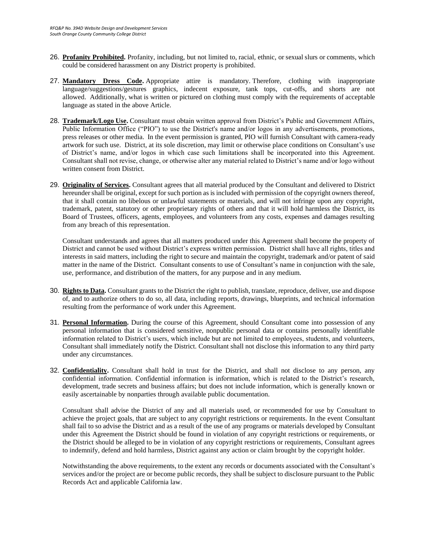- 26. **Profanity Prohibited.** Profanity, including, but not limited to, racial, ethnic, or sexual slurs or comments, which could be considered harassment on any District property is prohibited.
- 27. **Mandatory Dress Code.** Appropriate attire is mandatory. Therefore, clothing with inappropriate language/suggestions/gestures graphics, indecent exposure, tank tops, cut-offs, and shorts are not allowed. Additionally, what is written or pictured on clothing must comply with the requirements of acceptable language as stated in the above Article.
- 28. **Trademark/Logo Use.** Consultant must obtain written approval from District's Public and Government Affairs, Public Information Office ("PIO") to use the District's name and/or logos in any advertisements, promotions, press releases or other media. In the event permission is granted, PIO will furnish Consultant with camera-ready artwork for such use. District, at its sole discretion, may limit or otherwise place conditions on Consultant's use of District's name, and/or logos in which case such limitations shall be incorporated into this Agreement. Consultant shall not revise, change, or otherwise alter any material related to District's name and/or logo without written consent from District.
- 29. **Originality of Services.** Consultant agrees that all material produced by the Consultant and delivered to District hereunder shall be original, except for such portion as is included with permission of the copyright owners thereof, that it shall contain no libelous or unlawful statements or materials, and will not infringe upon any copyright, trademark, patent, statutory or other proprietary rights of others and that it will hold harmless the District, its Board of Trustees, officers, agents, employees, and volunteers from any costs, expenses and damages resulting from any breach of this representation.

Consultant understands and agrees that all matters produced under this Agreement shall become the property of District and cannot be used without District's express written permission. District shall have all rights, titles and interests in said matters, including the right to secure and maintain the copyright, trademark and/or patent of said matter in the name of the District. Consultant consents to use of Consultant's name in conjunction with the sale, use, performance, and distribution of the matters, for any purpose and in any medium.

- 30. **Rights to Data.** Consultant grants to the District the right to publish, translate, reproduce, deliver, use and dispose of, and to authorize others to do so, all data, including reports, drawings, blueprints, and technical information resulting from the performance of work under this Agreement.
- 31. **Personal Information.** During the course of this Agreement, should Consultant come into possession of any personal information that is considered sensitive, nonpublic personal data or contains personally identifiable information related to District's users, which include but are not limited to employees, students, and volunteers, Consultant shall immediately notify the District. Consultant shall not disclose this information to any third party under any circumstances.
- 32. **Confidentiality.** Consultant shall hold in trust for the District, and shall not disclose to any person, any confidential information. Confidential information is information, which is related to the District's research, development, trade secrets and business affairs; but does not include information, which is generally known or easily ascertainable by nonparties through available public documentation.

Consultant shall advise the District of any and all materials used, or recommended for use by Consultant to achieve the project goals, that are subject to any copyright restrictions or requirements. In the event Consultant shall fail to so advise the District and as a result of the use of any programs or materials developed by Consultant under this Agreement the District should be found in violation of any copyright restrictions or requirements, or the District should be alleged to be in violation of any copyright restrictions or requirements, Consultant agrees to indemnify, defend and hold harmless, District against any action or claim brought by the copyright holder.

Notwithstanding the above requirements, to the extent any records or documents associated with the Consultant's services and/or the project are or become public records, they shall be subject to disclosure pursuant to the Public Records Act and applicable California law.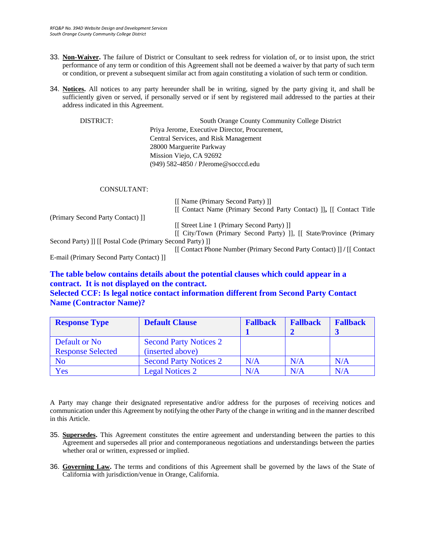- 33. **Non-Waiver.** The failure of District or Consultant to seek redress for violation of, or to insist upon, the strict performance of any term or condition of this Agreement shall not be deemed a waiver by that party of such term or condition, or prevent a subsequent similar act from again constituting a violation of such term or condition.
- 34. **Notices.** All notices to any party hereunder shall be in writing, signed by the party giving it, and shall be sufficiently given or served, if personally served or if sent by registered mail addressed to the parties at their address indicated in this Agreement.

DISTRICT: South Orange County Community College District Priya Jerome, Executive Director, Procurement, Central Services, and Risk Management 28000 Marguerite Parkway Mission Viejo, CA 92692 (949) 582-4850 / PJerome@socccd.edu

#### CONSULTANT:

|                                                           | [[ Name (Primary Second Party) ]]                                     |
|-----------------------------------------------------------|-----------------------------------------------------------------------|
|                                                           | [[ Contact Name (Primary Second Party Contact) ]], [[ Contact Title   |
| (Primary Second Party Contact) []                         |                                                                       |
|                                                           | [[ Street Line 1 (Primary Second Party) ]]                            |
|                                                           | [[ City/Town (Primary Second Party) ]], [[ State/Province (Primary    |
| Second Party) ]] [[ Postal Code (Primary Second Party) ]] |                                                                       |
|                                                           | [[Contact Phone Number (Primary Second Party Contact) ]] / [[Contact] |
| E-mail (Primary Second Party Contact) []                  |                                                                       |
|                                                           |                                                                       |

### **The table below contains details about the potential clauses which could appear in a contract. It is not displayed on the contract.**

#### **Selected CCF: Is legal notice contact information different from Second Party Contact Name (Contractor Name)?**

| <b>Response Type</b>     | <b>Default Clause</b>         | <b>Fallback</b> | <b>Fallback</b> | <b>Fallback</b> |
|--------------------------|-------------------------------|-----------------|-----------------|-----------------|
|                          |                               |                 |                 |                 |
| Default or No            | <b>Second Party Notices 2</b> |                 |                 |                 |
| <b>Response Selected</b> | (inserted above)              |                 |                 |                 |
| N <sub>o</sub>           | <b>Second Party Notices 2</b> | N/A             | N/A             | N/A             |
| Yes                      | <b>Legal Notices 2</b>        | N/A             | N/A             | N/A             |

A Party may change their designated representative and/or address for the purposes of receiving notices and communication under this Agreement by notifying the other Party of the change in writing and in the manner described in this Article.

- 35. **Supersedes.** This Agreement constitutes the entire agreement and understanding between the parties to this Agreement and supersedes all prior and contemporaneous negotiations and understandings between the parties whether oral or written, expressed or implied.
- 36. **Governing Law.** The terms and conditions of this Agreement shall be governed by the laws of the State of California with jurisdiction/venue in Orange, California.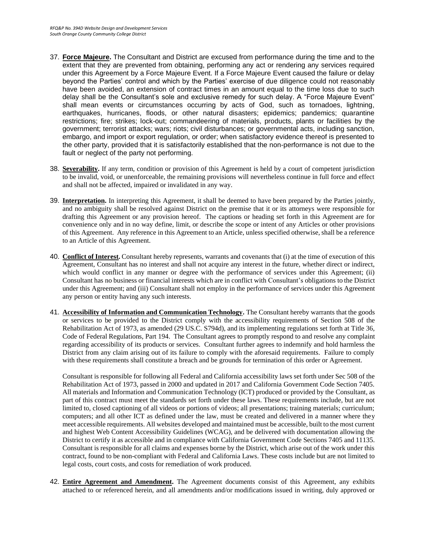- 37. **Force Majeure.** The Consultant and District are excused from performance during the time and to the extent that they are prevented from obtaining, performing any act or rendering any services required under this Agreement by a Force Majeure Event. If a Force Majeure Event caused the failure or delay beyond the Parties' control and which by the Parties' exercise of due diligence could not reasonably have been avoided, an extension of contract times in an amount equal to the time loss due to such delay shall be the Consultant's sole and exclusive remedy for such delay. A "Force Majeure Event" shall mean events or circumstances occurring by acts of God, such as tornadoes, lightning, earthquakes, hurricanes, floods, or other natural disasters; epidemics; pandemics; quarantine restrictions; fire; strikes; lock-out; commandeering of materials, products, plants or facilities by the government; terrorist attacks; wars; riots; civil disturbances; or governmental acts, including sanction, embargo, and import or export regulation, or order; when satisfactory evidence thereof is presented to the other party, provided that it is satisfactorily established that the non-performance is not due to the fault or neglect of the party not performing.
- 38. **Severability.** If any term, condition or provision of this Agreement is held by a court of competent jurisdiction to be invalid, void, or unenforceable, the remaining provisions will nevertheless continue in full force and effect and shall not be affected, impaired or invalidated in any way.
- 39. **Interpretation.** In interpreting this Agreement, it shall be deemed to have been prepared by the Parties jointly, and no ambiguity shall be resolved against District on the premise that it or its attorneys were responsible for drafting this Agreement or any provision hereof. The captions or heading set forth in this Agreement are for convenience only and in no way define, limit, or describe the scope or intent of any Articles or other provisions of this Agreement. Any reference in this Agreement to an Article, unless specified otherwise, shall be a reference to an Article of this Agreement.
- 40. **Conflict of Interest.** Consultant hereby represents, warrants and covenants that (i) at the time of execution of this Agreement, Consultant has no interest and shall not acquire any interest in the future, whether direct or indirect, which would conflict in any manner or degree with the performance of services under this Agreement; (ii) Consultant has no business or financial interests which are in conflict with Consultant's obligations to the District under this Agreement; and (iii) Consultant shall not employ in the performance of services under this Agreement any person or entity having any such interests.
- 41. **Accessibility of Information and Communication Technology.** The Consultant hereby warrants that the goods or services to be provided to the District comply with the accessibility requirements of Section 508 of the Rehabilitation Act of 1973, as amended (29 US.C. S794d), and its implementing regulations set forth at Title 36, Code of Federal Regulations, Part 194. The Consultant agrees to promptly respond to and resolve any complaint regarding accessibility of its products or services. Consultant further agrees to indemnify and hold harmless the District from any claim arising out of its failure to comply with the aforesaid requirements. Failure to comply with these requirements shall constitute a breach and be grounds for termination of this order or Agreement.

Consultant is responsible for following all Federal and California accessibility laws set forth under Sec 508 of the Rehabilitation Act of 1973, passed in 2000 and updated in 2017 and California Government Code Section 7405. All materials and Information and Communication Technology (ICT) produced or provided by the Consultant, as part of this contract must meet the standards set forth under these laws. These requirements include, but are not limited to, closed captioning of all videos or portions of videos; all presentations; training materials; curriculum; computers; and all other ICT as defined under the law, must be created and delivered in a manner where they meet accessible requirements. All websites developed and maintained must be accessible, built to the most current and highest Web Content Accessibility Guidelines (WCAG), and be delivered with documentation allowing the District to certify it as accessible and in compliance with California Government Code Sections 7405 and 11135. Consultant is responsible for all claims and expenses borne by the District, which arise out of the work under this contract, found to be non-compliant with Federal and California Laws. These costs include but are not limited to legal costs, court costs, and costs for remediation of work produced.

42. **Entire Agreement and Amendment.** The Agreement documents consist of this Agreement, any exhibits attached to or referenced herein, and all amendments and/or modifications issued in writing, duly approved or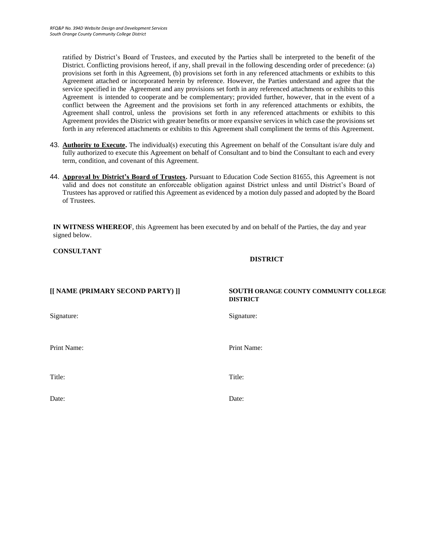ratified by District's Board of Trustees, and executed by the Parties shall be interpreted to the benefit of the District. Conflicting provisions hereof, if any, shall prevail in the following descending order of precedence: (a) provisions set forth in this Agreement, (b) provisions set forth in any referenced attachments or exhibits to this Agreement attached or incorporated herein by reference. However, the Parties understand and agree that the service specified in the Agreement and any provisions set forth in any referenced attachments or exhibits to this Agreement is intended to cooperate and be complementary; provided further, however, that in the event of a conflict between the Agreement and the provisions set forth in any referenced attachments or exhibits, the Agreement shall control, unless the provisions set forth in any referenced attachments or exhibits to this Agreement provides the District with greater benefits or more expansive services in which case the provisions set forth in any referenced attachments or exhibits to this Agreement shall compliment the terms of this Agreement.

- 43. **Authority to Execute.** The individual(s) executing this Agreement on behalf of the Consultant is/are duly and fully authorized to execute this Agreement on behalf of Consultant and to bind the Consultant to each and every term, condition, and covenant of this Agreement.
- 44. **Approval by District's Board of Trustees.** Pursuant to Education Code Section 81655, this Agreement is not valid and does not constitute an enforceable obligation against District unless and until District's Board of Trustees has approved or ratified this Agreement as evidenced by a motion duly passed and adopted by the Board of Trustees.

**IN WITNESS WHEREOF**, this Agreement has been executed by and on behalf of the Parties, the day and year signed below.

**CONSULTANT**

**DISTRICT**

| [[ NAME (PRIMARY SECOND PARTY) ]] | SOUTH ORANGE COUNTY COMMUNITY COLLEGE<br><b>DISTRICT</b> |
|-----------------------------------|----------------------------------------------------------|
| Signature:                        | Signature:                                               |
| Print Name:                       | Print Name:                                              |
| Title:                            | Title:                                                   |
| Date:                             | Date:                                                    |